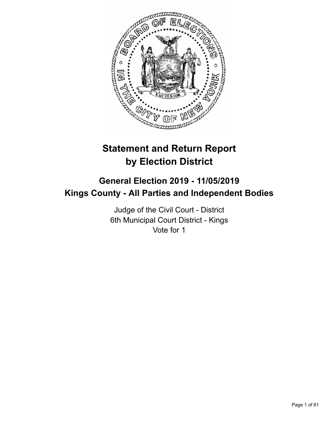

# **Statement and Return Report by Election District**

# **General Election 2019 - 11/05/2019 Kings County - All Parties and Independent Bodies**

Judge of the Civil Court - District 6th Municipal Court District - Kings Vote for 1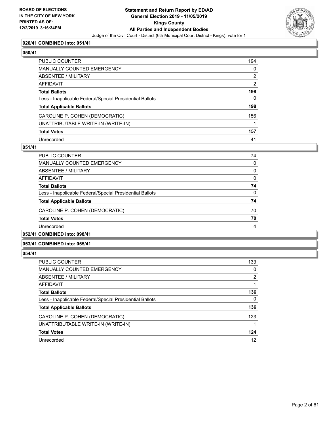

# **026/41 COMBINED into: 051/41**

# **050/41**

| PUBLIC COUNTER                                           | 194            |
|----------------------------------------------------------|----------------|
| MANUALLY COUNTED EMERGENCY                               | $\mathbf 0$    |
| ABSENTEE / MILITARY                                      | $\overline{2}$ |
| AFFIDAVIT                                                | $\overline{2}$ |
| <b>Total Ballots</b>                                     | 198            |
| Less - Inapplicable Federal/Special Presidential Ballots | $\mathbf{0}$   |
| <b>Total Applicable Ballots</b>                          | 198            |
| CAROLINE P. COHEN (DEMOCRATIC)                           | 156            |
| UNATTRIBUTABLE WRITE-IN (WRITE-IN)                       |                |
| <b>Total Votes</b>                                       | 157            |
| Unrecorded                                               | 41             |

# **051/41**

| <b>PUBLIC COUNTER</b>                                    | 74       |
|----------------------------------------------------------|----------|
| <b>MANUALLY COUNTED EMERGENCY</b>                        | $\Omega$ |
| ABSENTEE / MILITARY                                      | 0        |
| AFFIDAVIT                                                | 0        |
| <b>Total Ballots</b>                                     | 74       |
| Less - Inapplicable Federal/Special Presidential Ballots | $\Omega$ |
| <b>Total Applicable Ballots</b>                          | 74       |
| CAROLINE P. COHEN (DEMOCRATIC)                           | 70       |
| <b>Total Votes</b>                                       | 70       |
| Unrecorded                                               | 4        |
|                                                          |          |

# **052/41 COMBINED into: 098/41**

# **053/41 COMBINED into: 055/41**

| PUBLIC COUNTER                                           | 133      |
|----------------------------------------------------------|----------|
| <b>MANUALLY COUNTED EMERGENCY</b>                        | 0        |
| ABSENTEE / MILITARY                                      | 2        |
| AFFIDAVIT                                                |          |
| <b>Total Ballots</b>                                     | 136      |
| Less - Inapplicable Federal/Special Presidential Ballots | $\Omega$ |
| <b>Total Applicable Ballots</b>                          | 136      |
| CAROLINE P. COHEN (DEMOCRATIC)                           | 123      |
| UNATTRIBUTABLE WRITE-IN (WRITE-IN)                       |          |
| <b>Total Votes</b>                                       | 124      |
| Unrecorded                                               | 12       |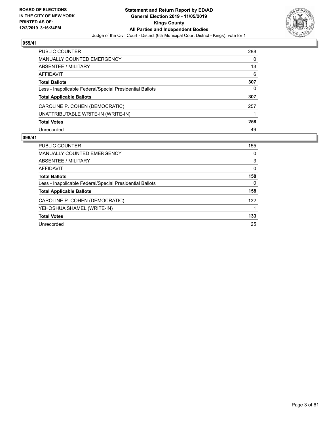

| PUBLIC COUNTER                                           | 288 |
|----------------------------------------------------------|-----|
| <b>MANUALLY COUNTED EMERGENCY</b>                        | 0   |
| ABSENTEE / MILITARY                                      | 13  |
| AFFIDAVIT                                                | 6   |
| <b>Total Ballots</b>                                     | 307 |
| Less - Inapplicable Federal/Special Presidential Ballots | 0   |
| <b>Total Applicable Ballots</b>                          | 307 |
| CAROLINE P. COHEN (DEMOCRATIC)                           | 257 |
| UNATTRIBUTABLE WRITE-IN (WRITE-IN)                       |     |
| <b>Total Votes</b>                                       | 258 |
| Unrecorded                                               | 49  |

| PUBLIC COUNTER                                           | 155      |
|----------------------------------------------------------|----------|
| <b>MANUALLY COUNTED EMERGENCY</b>                        | $\Omega$ |
| ABSENTEE / MILITARY                                      | 3        |
| AFFIDAVIT                                                | $\Omega$ |
| <b>Total Ballots</b>                                     | 158      |
| Less - Inapplicable Federal/Special Presidential Ballots | $\Omega$ |
| <b>Total Applicable Ballots</b>                          | 158      |
| CAROLINE P. COHEN (DEMOCRATIC)                           | 132      |
| YEHOSHUA SHAMEL (WRITE-IN)                               |          |
| <b>Total Votes</b>                                       | 133      |
| Unrecorded                                               | 25       |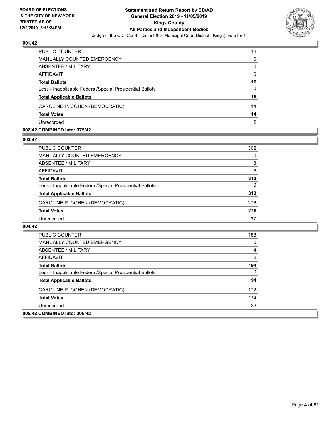

| PUBLIC COUNTER                                           | 16             |
|----------------------------------------------------------|----------------|
| MANUALLY COUNTED EMERGENCY                               | $\Omega$       |
| ABSENTEE / MILITARY                                      | $\Omega$       |
| AFFIDAVIT                                                | $\Omega$       |
| <b>Total Ballots</b>                                     | 16             |
| Less - Inapplicable Federal/Special Presidential Ballots | $\Omega$       |
| <b>Total Applicable Ballots</b>                          | 16             |
| CAROLINE P. COHEN (DEMOCRATIC)                           | 14             |
| <b>Total Votes</b>                                       | 14             |
| Unrecorded                                               | $\overline{2}$ |

#### **002/42 COMBINED into: 075/42**

#### **003/42**

| PUBLIC COUNTER                                           | 302 |
|----------------------------------------------------------|-----|
| <b>MANUALLY COUNTED EMERGENCY</b>                        | 0   |
| ABSENTEE / MILITARY                                      | 3   |
| AFFIDAVIT                                                | 8   |
| <b>Total Ballots</b>                                     | 313 |
| Less - Inapplicable Federal/Special Presidential Ballots | 0   |
| <b>Total Applicable Ballots</b>                          | 313 |
| CAROLINE P. COHEN (DEMOCRATIC)                           | 276 |
| <b>Total Votes</b>                                       | 276 |
| Unrecorded                                               | 37  |
|                                                          |     |

| PUBLIC COUNTER                                           | 188 |
|----------------------------------------------------------|-----|
| <b>MANUALLY COUNTED EMERGENCY</b>                        | 0   |
| ABSENTEE / MILITARY                                      | 4   |
| AFFIDAVIT                                                | 2   |
| <b>Total Ballots</b>                                     | 194 |
| Less - Inapplicable Federal/Special Presidential Ballots | 0   |
| <b>Total Applicable Ballots</b>                          | 194 |
| CAROLINE P. COHEN (DEMOCRATIC)                           | 172 |
| <b>Total Votes</b>                                       | 172 |
| Unrecorded                                               | 22  |
| 005/42 COMBINED into: 006/42                             |     |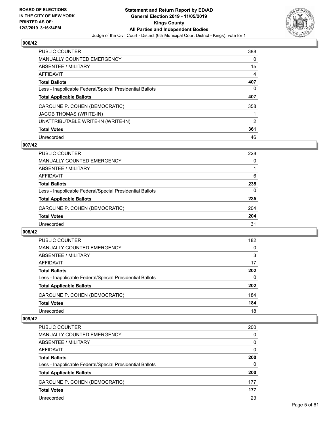

| <b>PUBLIC COUNTER</b>                                    | 388      |
|----------------------------------------------------------|----------|
| <b>MANUALLY COUNTED EMERGENCY</b>                        | $\Omega$ |
| ABSENTEE / MILITARY                                      | 15       |
| <b>AFFIDAVIT</b>                                         | 4        |
| <b>Total Ballots</b>                                     | 407      |
| Less - Inapplicable Federal/Special Presidential Ballots | 0        |
| <b>Total Applicable Ballots</b>                          | 407      |
| CAROLINE P. COHEN (DEMOCRATIC)                           | 358      |
| <b>JACOB THOMAS (WRITE-IN)</b>                           |          |
| UNATTRIBUTABLE WRITE-IN (WRITE-IN)                       | 2        |
| <b>Total Votes</b>                                       | 361      |
| Unrecorded                                               | 46       |

# **007/42**

| <b>PUBLIC COUNTER</b>                                    | 228      |
|----------------------------------------------------------|----------|
| <b>MANUALLY COUNTED EMERGENCY</b>                        | $\Omega$ |
| ABSENTEE / MILITARY                                      |          |
| AFFIDAVIT                                                | 6        |
| <b>Total Ballots</b>                                     | 235      |
| Less - Inapplicable Federal/Special Presidential Ballots | $\Omega$ |
| <b>Total Applicable Ballots</b>                          | 235      |
| CAROLINE P. COHEN (DEMOCRATIC)                           | 204      |
| <b>Total Votes</b>                                       | 204      |
| Unrecorded                                               | 31       |

#### **008/42**

| <b>PUBLIC COUNTER</b>                                    | 182      |
|----------------------------------------------------------|----------|
| MANUALLY COUNTED EMERGENCY                               | 0        |
| ABSENTEE / MILITARY                                      | 3        |
| AFFIDAVIT                                                | 17       |
| <b>Total Ballots</b>                                     | 202      |
| Less - Inapplicable Federal/Special Presidential Ballots | $\Omega$ |
| <b>Total Applicable Ballots</b>                          | 202      |
| CAROLINE P. COHEN (DEMOCRATIC)                           | 184      |
| <b>Total Votes</b>                                       | 184      |
| Unrecorded                                               | 18       |

| PUBLIC COUNTER                                           | 200      |
|----------------------------------------------------------|----------|
| MANUALLY COUNTED EMERGENCY                               | 0        |
| ABSENTEE / MILITARY                                      | 0        |
| AFFIDAVIT                                                | $\Omega$ |
| <b>Total Ballots</b>                                     | 200      |
| Less - Inapplicable Federal/Special Presidential Ballots | $\Omega$ |
| <b>Total Applicable Ballots</b>                          | 200      |
| CAROLINE P. COHEN (DEMOCRATIC)                           | 177      |
| <b>Total Votes</b>                                       | 177      |
| Unrecorded                                               | 23       |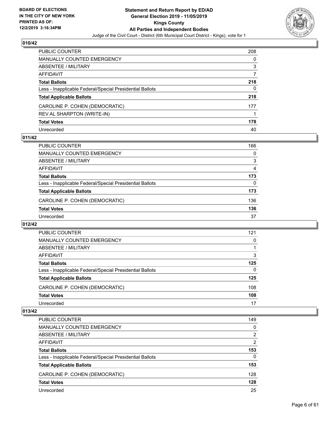

| PUBLIC COUNTER                                           | 208 |
|----------------------------------------------------------|-----|
| <b>MANUALLY COUNTED EMERGENCY</b>                        | 0   |
| <b>ABSENTEE / MILITARY</b>                               | 3   |
| AFFIDAVIT                                                |     |
| <b>Total Ballots</b>                                     | 218 |
| Less - Inapplicable Federal/Special Presidential Ballots | 0   |
| <b>Total Applicable Ballots</b>                          | 218 |
| CAROLINE P. COHEN (DEMOCRATIC)                           | 177 |
| REV AL SHARPTON (WRITE-IN)                               |     |
| <b>Total Votes</b>                                       | 178 |
| Unrecorded                                               | 40  |

# **011/42**

| PUBLIC COUNTER                                           | 166      |
|----------------------------------------------------------|----------|
| <b>MANUALLY COUNTED EMERGENCY</b>                        | $\Omega$ |
| ABSENTEE / MILITARY                                      | 3        |
| AFFIDAVIT                                                | 4        |
| <b>Total Ballots</b>                                     | 173      |
| Less - Inapplicable Federal/Special Presidential Ballots | 0        |
| <b>Total Applicable Ballots</b>                          | 173      |
| CAROLINE P. COHEN (DEMOCRATIC)                           | 136      |
| <b>Total Votes</b>                                       | 136      |
| Unrecorded                                               | 37       |

#### **012/42**

| PUBLIC COUNTER                                           | 121      |
|----------------------------------------------------------|----------|
| <b>MANUALLY COUNTED EMERGENCY</b>                        | $\Omega$ |
| ABSENTEE / MILITARY                                      |          |
| AFFIDAVIT                                                | 3        |
| <b>Total Ballots</b>                                     | 125      |
| Less - Inapplicable Federal/Special Presidential Ballots | $\Omega$ |
| <b>Total Applicable Ballots</b>                          | 125      |
| CAROLINE P. COHEN (DEMOCRATIC)                           | 108      |
| <b>Total Votes</b>                                       | 108      |
| Unrecorded                                               | 17       |

| PUBLIC COUNTER                                           | 149            |
|----------------------------------------------------------|----------------|
| <b>MANUALLY COUNTED EMERGENCY</b>                        | $\Omega$       |
| ABSENTEE / MILITARY                                      | 2              |
| AFFIDAVIT                                                | $\overline{2}$ |
| <b>Total Ballots</b>                                     | 153            |
| Less - Inapplicable Federal/Special Presidential Ballots | $\Omega$       |
| <b>Total Applicable Ballots</b>                          | 153            |
| CAROLINE P. COHEN (DEMOCRATIC)                           | 128            |
| <b>Total Votes</b>                                       | 128            |
| Unrecorded                                               | 25             |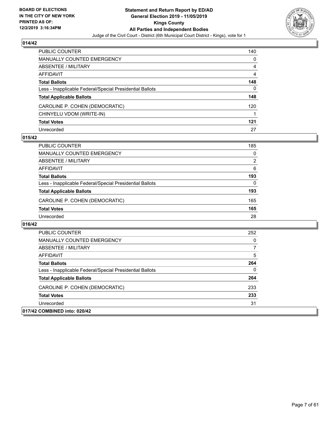

| PUBLIC COUNTER                                           | 140 |
|----------------------------------------------------------|-----|
| <b>MANUALLY COUNTED EMERGENCY</b>                        | 0   |
| ABSENTEE / MILITARY                                      | 4   |
| AFFIDAVIT                                                | 4   |
| <b>Total Ballots</b>                                     | 148 |
| Less - Inapplicable Federal/Special Presidential Ballots | 0   |
| <b>Total Applicable Ballots</b>                          | 148 |
| CAROLINE P. COHEN (DEMOCRATIC)                           | 120 |
| CHINYELU VDOM (WRITE-IN)                                 |     |
| <b>Total Votes</b>                                       | 121 |
| Unrecorded                                               | 27  |

#### **015/42**

| PUBLIC COUNTER                                           | 185            |
|----------------------------------------------------------|----------------|
| MANUALLY COUNTED EMERGENCY                               | $\Omega$       |
| ABSENTEE / MILITARY                                      | $\overline{2}$ |
| AFFIDAVIT                                                | 6              |
| <b>Total Ballots</b>                                     | 193            |
| Less - Inapplicable Federal/Special Presidential Ballots | 0              |
| <b>Total Applicable Ballots</b>                          | 193            |
| CAROLINE P. COHEN (DEMOCRATIC)                           | 165            |
| <b>Total Votes</b>                                       | 165            |
| Unrecorded                                               | 28             |

| PUBLIC COUNTER                                           | 252 |
|----------------------------------------------------------|-----|
| MANUALLY COUNTED EMERGENCY                               | 0   |
| ABSENTEE / MILITARY                                      |     |
| AFFIDAVIT                                                | 5   |
| <b>Total Ballots</b>                                     | 264 |
| Less - Inapplicable Federal/Special Presidential Ballots | 0   |
| <b>Total Applicable Ballots</b>                          | 264 |
| CAROLINE P. COHEN (DEMOCRATIC)                           | 233 |
| <b>Total Votes</b>                                       | 233 |
| Unrecorded                                               | 31  |
| 017/42 COMBINED into: 020/42                             |     |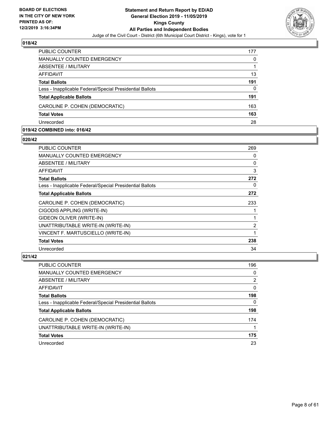

| <b>PUBLIC COUNTER</b>                                    | 177 |
|----------------------------------------------------------|-----|
| MANUALLY COUNTED EMERGENCY                               | 0   |
| ABSENTEE / MILITARY                                      |     |
| AFFIDAVIT                                                | 13  |
| <b>Total Ballots</b>                                     | 191 |
| Less - Inapplicable Federal/Special Presidential Ballots | 0   |
| <b>Total Applicable Ballots</b>                          | 191 |
| CAROLINE P. COHEN (DEMOCRATIC)                           | 163 |
| <b>Total Votes</b>                                       | 163 |
| Unrecorded                                               | 28  |

#### **019/42 COMBINED into: 016/42**

#### **020/42**

| PUBLIC COUNTER                                           | 269 |
|----------------------------------------------------------|-----|
| MANUALLY COUNTED EMERGENCY                               | 0   |
| ABSENTEE / MILITARY                                      | 0   |
| AFFIDAVIT                                                | 3   |
| <b>Total Ballots</b>                                     | 272 |
| Less - Inapplicable Federal/Special Presidential Ballots | 0   |
| <b>Total Applicable Ballots</b>                          | 272 |
| CAROLINE P. COHEN (DEMOCRATIC)                           | 233 |
| CIGODIS APPLING (WRITE-IN)                               |     |
| GIDEON OLIVER (WRITE-IN)                                 |     |
| UNATTRIBUTABLE WRITE-IN (WRITE-IN)                       | 2   |
| VINCENT F. MARTUSCIELLO (WRITE-IN)                       | 1   |
| <b>Total Votes</b>                                       | 238 |
| Unrecorded                                               | 34  |

| PUBLIC COUNTER                                           | 196      |
|----------------------------------------------------------|----------|
| <b>MANUALLY COUNTED EMERGENCY</b>                        | $\Omega$ |
| ABSENTEE / MILITARY                                      | 2        |
| AFFIDAVIT                                                | $\Omega$ |
| <b>Total Ballots</b>                                     | 198      |
| Less - Inapplicable Federal/Special Presidential Ballots | 0        |
| <b>Total Applicable Ballots</b>                          | 198      |
| CAROLINE P. COHEN (DEMOCRATIC)                           | 174      |
| UNATTRIBUTABLE WRITE-IN (WRITE-IN)                       |          |
| <b>Total Votes</b>                                       | 175      |
| Unrecorded                                               | 23       |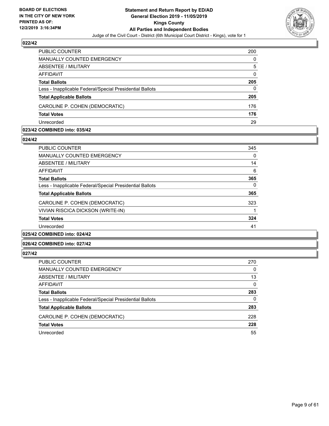

| <b>PUBLIC COUNTER</b>                                    | 200      |
|----------------------------------------------------------|----------|
| MANUALLY COUNTED EMERGENCY                               | 0        |
| ABSENTEE / MILITARY                                      | 5        |
| AFFIDAVIT                                                | $\Omega$ |
| <b>Total Ballots</b>                                     | 205      |
| Less - Inapplicable Federal/Special Presidential Ballots | 0        |
| <b>Total Applicable Ballots</b>                          | 205      |
| CAROLINE P. COHEN (DEMOCRATIC)                           | 176      |
| <b>Total Votes</b>                                       | 176      |
| Unrecorded                                               | 29       |

#### **023/42 COMBINED into: 035/42**

#### **024/42**

| <b>PUBLIC COUNTER</b>                                    | 345      |
|----------------------------------------------------------|----------|
| <b>MANUALLY COUNTED EMERGENCY</b>                        | $\Omega$ |
| ABSENTEE / MILITARY                                      | 14       |
| <b>AFFIDAVIT</b>                                         | 6        |
| <b>Total Ballots</b>                                     | 365      |
| Less - Inapplicable Federal/Special Presidential Ballots | 0        |
| <b>Total Applicable Ballots</b>                          | 365      |
| CAROLINE P. COHEN (DEMOCRATIC)                           | 323      |
| VIVIAN RISCICA DICKSON (WRITE-IN)                        |          |
| <b>Total Votes</b>                                       | 324      |
| Unrecorded                                               | 41       |
|                                                          |          |

# **025/42 COMBINED into: 024/42**

# **026/42 COMBINED into: 027/42**

| PUBLIC COUNTER                                           | 270      |
|----------------------------------------------------------|----------|
| <b>MANUALLY COUNTED EMERGENCY</b>                        | 0        |
| ABSENTEE / MILITARY                                      | 13       |
| AFFIDAVIT                                                | $\Omega$ |
| <b>Total Ballots</b>                                     | 283      |
| Less - Inapplicable Federal/Special Presidential Ballots | 0        |
| <b>Total Applicable Ballots</b>                          | 283      |
| CAROLINE P. COHEN (DEMOCRATIC)                           | 228      |
| <b>Total Votes</b>                                       | 228      |
| Unrecorded                                               | 55       |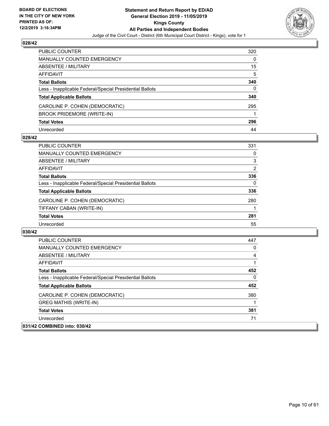

| <b>PUBLIC COUNTER</b>                                    | 320 |
|----------------------------------------------------------|-----|
| <b>MANUALLY COUNTED EMERGENCY</b>                        | 0   |
| ABSENTEE / MILITARY                                      | 15  |
| <b>AFFIDAVIT</b>                                         | 5   |
| <b>Total Ballots</b>                                     | 340 |
| Less - Inapplicable Federal/Special Presidential Ballots | 0   |
| <b>Total Applicable Ballots</b>                          | 340 |
| CAROLINE P. COHEN (DEMOCRATIC)                           | 295 |
| <b>BROOK PRIDEMORE (WRITE-IN)</b>                        |     |
| <b>Total Votes</b>                                       | 296 |
| Unrecorded                                               | 44  |

# **029/42**

| PUBLIC COUNTER                                           | 331            |
|----------------------------------------------------------|----------------|
| <b>MANUALLY COUNTED EMERGENCY</b>                        | 0              |
| ABSENTEE / MILITARY                                      | 3              |
| AFFIDAVIT                                                | $\overline{2}$ |
| <b>Total Ballots</b>                                     | 336            |
| Less - Inapplicable Federal/Special Presidential Ballots | $\Omega$       |
| <b>Total Applicable Ballots</b>                          | 336            |
| CAROLINE P. COHEN (DEMOCRATIC)                           | 280            |
| TIFFANY CABAN (WRITE-IN)                                 |                |
| <b>Total Votes</b>                                       | 281            |
| Unrecorded                                               | 55             |

| PUBLIC COUNTER                                           | 447      |
|----------------------------------------------------------|----------|
| <b>MANUALLY COUNTED EMERGENCY</b>                        | $\Omega$ |
| ABSENTEE / MILITARY                                      | 4        |
| AFFIDAVIT                                                |          |
| <b>Total Ballots</b>                                     | 452      |
| Less - Inapplicable Federal/Special Presidential Ballots | $\Omega$ |
| <b>Total Applicable Ballots</b>                          | 452      |
| CAROLINE P. COHEN (DEMOCRATIC)                           | 380      |
| <b>GREG MATHIS (WRITE-IN)</b>                            |          |
| <b>Total Votes</b>                                       | 381      |
| Unrecorded                                               | 71       |
| 031/42 COMBINED into: 030/42                             |          |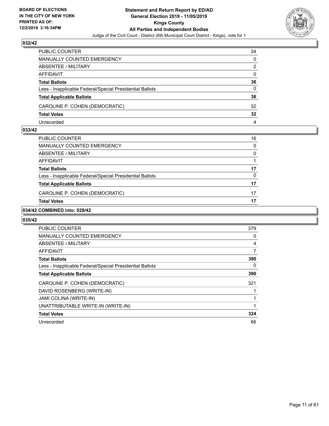

| PUBLIC COUNTER                                           | 34       |
|----------------------------------------------------------|----------|
| MANUALLY COUNTED EMERGENCY                               | $\Omega$ |
| <b>ABSENTEE / MILITARY</b>                               | 2        |
| AFFIDAVIT                                                | $\Omega$ |
| <b>Total Ballots</b>                                     | 36       |
| Less - Inapplicable Federal/Special Presidential Ballots | 0        |
| <b>Total Applicable Ballots</b>                          | 36       |
| CAROLINE P. COHEN (DEMOCRATIC)                           | 32       |
| <b>Total Votes</b>                                       | 32       |
| Unrecorded                                               | 4        |

#### **033/42**

| PUBLIC COUNTER                                           | 16       |
|----------------------------------------------------------|----------|
| <b>MANUALLY COUNTED EMERGENCY</b>                        | $\Omega$ |
| <b>ABSENTEE / MILITARY</b>                               | 0        |
| <b>AFFIDAVIT</b>                                         |          |
| <b>Total Ballots</b>                                     | 17       |
| Less - Inapplicable Federal/Special Presidential Ballots | 0        |
| <b>Total Applicable Ballots</b>                          | 17       |
| CAROLINE P. COHEN (DEMOCRATIC)                           | 17       |
| <b>Total Votes</b>                                       | 17       |

# **034/42 COMBINED into: 029/42**

| <b>PUBLIC COUNTER</b>                                    | 379 |
|----------------------------------------------------------|-----|
| <b>MANUALLY COUNTED EMERGENCY</b>                        | 0   |
| ABSENTEE / MILITARY                                      | 4   |
| AFFIDAVIT                                                | 7   |
| <b>Total Ballots</b>                                     | 390 |
| Less - Inapplicable Federal/Special Presidential Ballots | 0   |
| <b>Total Applicable Ballots</b>                          | 390 |
| CAROLINE P. COHEN (DEMOCRATIC)                           | 321 |
| DAVID ROSENBERG (WRITE-IN)                               |     |
| JAMI COLINA (WRITE-IN)                                   |     |
| UNATTRIBUTABLE WRITE-IN (WRITE-IN)                       |     |
| <b>Total Votes</b>                                       | 324 |
| Unrecorded                                               | 66  |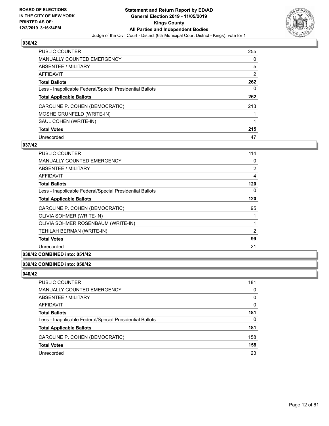

| <b>PUBLIC COUNTER</b>                                    | 255      |
|----------------------------------------------------------|----------|
| <b>MANUALLY COUNTED EMERGENCY</b>                        | $\Omega$ |
| ABSENTEE / MILITARY                                      | 5        |
| AFFIDAVIT                                                | 2        |
| <b>Total Ballots</b>                                     | 262      |
| Less - Inapplicable Federal/Special Presidential Ballots | 0        |
| <b>Total Applicable Ballots</b>                          | 262      |
| CAROLINE P. COHEN (DEMOCRATIC)                           | 213      |
| MOSHE GRUNFELD (WRITE-IN)                                |          |
| SAUL COHEN (WRITE-IN)                                    | 1        |
| <b>Total Votes</b>                                       | 215      |
| Unrecorded                                               | 47       |

# **037/42**

| PUBLIC COUNTER                                           | 114 |
|----------------------------------------------------------|-----|
| <b>MANUALLY COUNTED EMERGENCY</b>                        | 0   |
| <b>ABSENTEE / MILITARY</b>                               | 2   |
| <b>AFFIDAVIT</b>                                         | 4   |
| <b>Total Ballots</b>                                     | 120 |
| Less - Inapplicable Federal/Special Presidential Ballots | 0   |
| <b>Total Applicable Ballots</b>                          | 120 |
| CAROLINE P. COHEN (DEMOCRATIC)                           | 95  |
| OLIVIA SOHMER (WRITE-IN)                                 | 1   |
| OLIVIA SOHMER ROSENBAUM (WRITE-IN)                       |     |
| TEHILAH BERMAN (WRITE-IN)                                | 2   |
| <b>Total Votes</b>                                       | 99  |
| Unrecorded                                               | 21  |

# **038/42 COMBINED into: 051/42**

#### **039/42 COMBINED into: 058/42**

| PUBLIC COUNTER                                           | 181      |
|----------------------------------------------------------|----------|
| MANUALLY COUNTED EMERGENCY                               | 0        |
| ABSENTEE / MILITARY                                      | 0        |
| AFFIDAVIT                                                | 0        |
| Total Ballots                                            | 181      |
| Less - Inapplicable Federal/Special Presidential Ballots | $\Omega$ |
| <b>Total Applicable Ballots</b>                          | 181      |
| CAROLINE P. COHEN (DEMOCRATIC)                           | 158      |
| <b>Total Votes</b>                                       | 158      |
| Unrecorded                                               | 23       |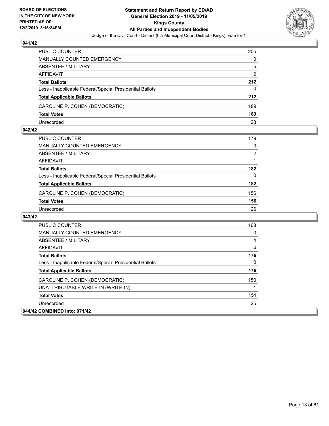

| PUBLIC COUNTER                                           | 205           |
|----------------------------------------------------------|---------------|
| MANUALLY COUNTED EMERGENCY                               | 0             |
| ABSENTEE / MILITARY                                      | 5             |
| AFFIDAVIT                                                | $\mathcal{P}$ |
| <b>Total Ballots</b>                                     | 212           |
| Less - Inapplicable Federal/Special Presidential Ballots | 0             |
| <b>Total Applicable Ballots</b>                          | 212           |
| CAROLINE P. COHEN (DEMOCRATIC)                           | 189           |
| <b>Total Votes</b>                                       | 189           |
| Unrecorded                                               | 23            |

#### **042/42**

| PUBLIC COUNTER                                           | 179           |
|----------------------------------------------------------|---------------|
| <b>MANUALLY COUNTED EMERGENCY</b>                        | $\Omega$      |
| ABSENTEE / MILITARY                                      | $\mathcal{P}$ |
| AFFIDAVIT                                                |               |
| <b>Total Ballots</b>                                     | 182           |
| Less - Inapplicable Federal/Special Presidential Ballots | $\Omega$      |
| <b>Total Applicable Ballots</b>                          | 182           |
| CAROLINE P. COHEN (DEMOCRATIC)                           | 156           |
| <b>Total Votes</b>                                       | 156           |
| Unrecorded                                               | 26            |

| <b>PUBLIC COUNTER</b>                                    | 168 |
|----------------------------------------------------------|-----|
| <b>MANUALLY COUNTED EMERGENCY</b>                        | 0   |
| ABSENTEE / MILITARY                                      | 4   |
| AFFIDAVIT                                                | 4   |
| <b>Total Ballots</b>                                     | 176 |
| Less - Inapplicable Federal/Special Presidential Ballots | 0   |
| <b>Total Applicable Ballots</b>                          | 176 |
| CAROLINE P. COHEN (DEMOCRATIC)                           | 150 |
| UNATTRIBUTABLE WRITE-IN (WRITE-IN)                       |     |
| <b>Total Votes</b>                                       | 151 |
| Unrecorded                                               | 25  |
| 044/42 COMBINED into: 071/42                             |     |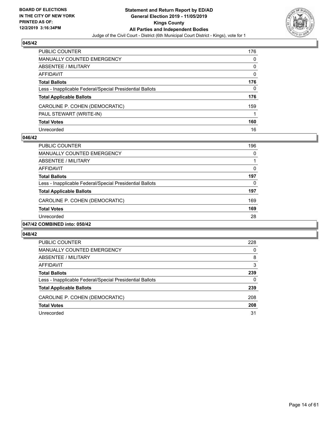

| PUBLIC COUNTER                                           | 176      |
|----------------------------------------------------------|----------|
| <b>MANUALLY COUNTED EMERGENCY</b>                        | 0        |
| <b>ABSENTEE / MILITARY</b>                               | 0        |
| AFFIDAVIT                                                | $\Omega$ |
| <b>Total Ballots</b>                                     | 176      |
| Less - Inapplicable Federal/Special Presidential Ballots | 0        |
| <b>Total Applicable Ballots</b>                          | 176      |
| CAROLINE P. COHEN (DEMOCRATIC)                           | 159      |
| PAUL STEWART (WRITE-IN)                                  |          |
| <b>Total Votes</b>                                       | 160      |
| Unrecorded                                               | 16       |

# **046/42**

| <b>PUBLIC COUNTER</b>                                    | 196      |
|----------------------------------------------------------|----------|
| <b>MANUALLY COUNTED EMERGENCY</b>                        | 0        |
| ABSENTEE / MILITARY                                      |          |
| AFFIDAVIT                                                | $\Omega$ |
| <b>Total Ballots</b>                                     | 197      |
| Less - Inapplicable Federal/Special Presidential Ballots | $\Omega$ |
| <b>Total Applicable Ballots</b>                          | 197      |
| CAROLINE P. COHEN (DEMOCRATIC)                           | 169      |
| <b>Total Votes</b>                                       | 169      |
| Unrecorded                                               | 28       |
| 047/42 COMBINED into: 050/42                             |          |

| PUBLIC COUNTER                                           | 228 |
|----------------------------------------------------------|-----|
| <b>MANUALLY COUNTED EMERGENCY</b>                        | 0   |
| ABSENTEE / MILITARY                                      | 8   |
| AFFIDAVIT                                                | 3   |
| <b>Total Ballots</b>                                     | 239 |
| Less - Inapplicable Federal/Special Presidential Ballots | 0   |
| <b>Total Applicable Ballots</b>                          | 239 |
| CAROLINE P. COHEN (DEMOCRATIC)                           | 208 |
| <b>Total Votes</b>                                       | 208 |
| Unrecorded                                               | 31  |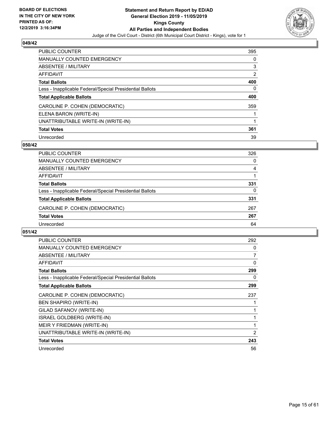

| <b>PUBLIC COUNTER</b>                                    | 395            |
|----------------------------------------------------------|----------------|
| <b>MANUALLY COUNTED EMERGENCY</b>                        | 0              |
| ABSENTEE / MILITARY                                      | 3              |
| AFFIDAVIT                                                | $\overline{2}$ |
| <b>Total Ballots</b>                                     | 400            |
| Less - Inapplicable Federal/Special Presidential Ballots | 0              |
| <b>Total Applicable Ballots</b>                          | 400            |
| CAROLINE P. COHEN (DEMOCRATIC)                           | 359            |
| ELENA BARON (WRITE-IN)                                   |                |
| UNATTRIBUTABLE WRITE-IN (WRITE-IN)                       |                |
| <b>Total Votes</b>                                       | 361            |
| Unrecorded                                               | 39             |

#### **050/42**

| <b>PUBLIC COUNTER</b>                                    | 326      |
|----------------------------------------------------------|----------|
| <b>MANUALLY COUNTED EMERGENCY</b>                        | $\Omega$ |
| ABSENTEE / MILITARY                                      | 4        |
| AFFIDAVIT                                                |          |
| <b>Total Ballots</b>                                     | 331      |
| Less - Inapplicable Federal/Special Presidential Ballots | 0        |
| <b>Total Applicable Ballots</b>                          | 331      |
| CAROLINE P. COHEN (DEMOCRATIC)                           | 267      |
| <b>Total Votes</b>                                       | 267      |
| Unrecorded                                               | 64       |

| <b>PUBLIC COUNTER</b>                                    | 292            |
|----------------------------------------------------------|----------------|
| <b>MANUALLY COUNTED EMERGENCY</b>                        | 0              |
| ABSENTEE / MILITARY                                      | $\overline{7}$ |
| <b>AFFIDAVIT</b>                                         | 0              |
| <b>Total Ballots</b>                                     | 299            |
| Less - Inapplicable Federal/Special Presidential Ballots | 0              |
| <b>Total Applicable Ballots</b>                          | 299            |
| CAROLINE P. COHEN (DEMOCRATIC)                           | 237            |
| <b>BEN SHAPIRO (WRITE-IN)</b>                            |                |
| GILAD SAFANOV (WRITE-IN)                                 |                |
| <b>ISRAEL GOLDBERG (WRITE-IN)</b>                        |                |
| MEIR Y FRIEDMAN (WRITE-IN)                               | 1              |
| UNATTRIBUTABLE WRITE-IN (WRITE-IN)                       | 2              |
| <b>Total Votes</b>                                       | 243            |
| Unrecorded                                               | 56             |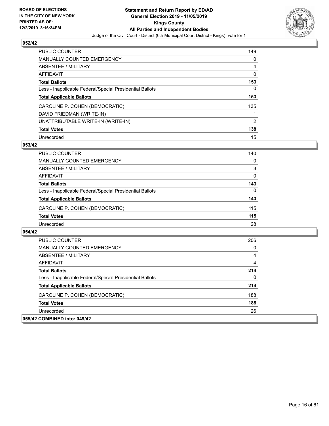

| <b>PUBLIC COUNTER</b>                                    | 149 |
|----------------------------------------------------------|-----|
| <b>MANUALLY COUNTED EMERGENCY</b>                        | 0   |
| ABSENTEE / MILITARY                                      | 4   |
| <b>AFFIDAVIT</b>                                         | 0   |
| <b>Total Ballots</b>                                     | 153 |
| Less - Inapplicable Federal/Special Presidential Ballots | 0   |
| <b>Total Applicable Ballots</b>                          | 153 |
| CAROLINE P. COHEN (DEMOCRATIC)                           | 135 |
| DAVID FRIEDMAN (WRITE-IN)                                |     |
| UNATTRIBUTABLE WRITE-IN (WRITE-IN)                       | 2   |
| <b>Total Votes</b>                                       | 138 |
| Unrecorded                                               | 15  |

# **053/42**

| <b>PUBLIC COUNTER</b>                                    | 140      |
|----------------------------------------------------------|----------|
| MANUALLY COUNTED EMERGENCY                               | $\Omega$ |
| ABSENTEE / MILITARY                                      | 3        |
| AFFIDAVIT                                                | $\Omega$ |
| <b>Total Ballots</b>                                     | 143      |
| Less - Inapplicable Federal/Special Presidential Ballots | $\Omega$ |
| <b>Total Applicable Ballots</b>                          | 143      |
| CAROLINE P. COHEN (DEMOCRATIC)                           | 115      |
| <b>Total Votes</b>                                       | 115      |
| Unrecorded                                               | 28       |

| <b>PUBLIC COUNTER</b>                                    | 206 |
|----------------------------------------------------------|-----|
| MANUALLY COUNTED EMERGENCY                               | 0   |
| ABSENTEE / MILITARY                                      | 4   |
| AFFIDAVIT                                                | 4   |
| <b>Total Ballots</b>                                     | 214 |
| Less - Inapplicable Federal/Special Presidential Ballots | 0   |
| <b>Total Applicable Ballots</b>                          | 214 |
| CAROLINE P. COHEN (DEMOCRATIC)                           | 188 |
| <b>Total Votes</b>                                       | 188 |
| Unrecorded                                               | 26  |
| 055/42 COMBINED into: 049/42                             |     |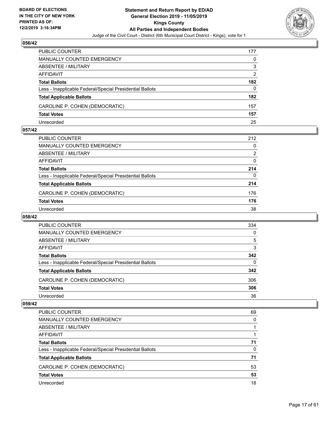

| PUBLIC COUNTER                                           | 177 |
|----------------------------------------------------------|-----|
| MANUALLY COUNTED EMERGENCY                               | 0   |
| ABSENTEE / MILITARY                                      | 3   |
| AFFIDAVIT                                                | 2   |
| <b>Total Ballots</b>                                     | 182 |
| Less - Inapplicable Federal/Special Presidential Ballots | 0   |
| <b>Total Applicable Ballots</b>                          | 182 |
| CAROLINE P. COHEN (DEMOCRATIC)                           | 157 |
| <b>Total Votes</b>                                       | 157 |
| Unrecorded                                               | 25  |

#### **057/42**

| <b>PUBLIC COUNTER</b>                                    | 212      |
|----------------------------------------------------------|----------|
| <b>MANUALLY COUNTED EMERGENCY</b>                        | 0        |
| <b>ABSENTEE / MILITARY</b>                               | 2        |
| AFFIDAVIT                                                | $\Omega$ |
| <b>Total Ballots</b>                                     | 214      |
| Less - Inapplicable Federal/Special Presidential Ballots | 0        |
| <b>Total Applicable Ballots</b>                          | 214      |
| CAROLINE P. COHEN (DEMOCRATIC)                           | 176      |
| <b>Total Votes</b>                                       | 176      |
| Unrecorded                                               | 38       |
|                                                          |          |

# **058/42**

| PUBLIC COUNTER                                           | 334      |
|----------------------------------------------------------|----------|
| MANUALLY COUNTED EMERGENCY                               | $\Omega$ |
| ABSENTEE / MILITARY                                      | 5        |
| AFFIDAVIT                                                | 3        |
| <b>Total Ballots</b>                                     | 342      |
| Less - Inapplicable Federal/Special Presidential Ballots | 0        |
| <b>Total Applicable Ballots</b>                          | 342      |
| CAROLINE P. COHEN (DEMOCRATIC)                           | 306      |
| <b>Total Votes</b>                                       | 306      |
| Unrecorded                                               | 36       |

| <b>PUBLIC COUNTER</b>                                    | 69       |
|----------------------------------------------------------|----------|
| <b>MANUALLY COUNTED EMERGENCY</b>                        | 0        |
| ABSENTEE / MILITARY                                      |          |
| AFFIDAVIT                                                |          |
| <b>Total Ballots</b>                                     | 71       |
| Less - Inapplicable Federal/Special Presidential Ballots | $\Omega$ |
| <b>Total Applicable Ballots</b>                          | 71       |
| CAROLINE P. COHEN (DEMOCRATIC)                           | 53       |
| <b>Total Votes</b>                                       | 53       |
| Unrecorded                                               | 18       |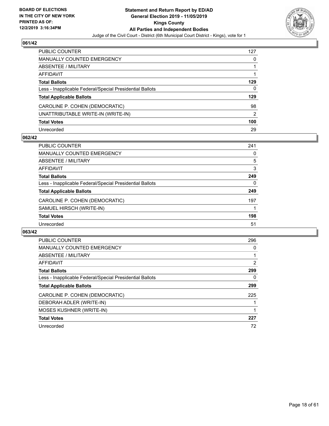

| PUBLIC COUNTER                                           | 127 |
|----------------------------------------------------------|-----|
| <b>MANUALLY COUNTED EMERGENCY</b>                        | 0   |
| <b>ABSENTEE / MILITARY</b>                               |     |
| AFFIDAVIT                                                |     |
| <b>Total Ballots</b>                                     | 129 |
| Less - Inapplicable Federal/Special Presidential Ballots | 0   |
| <b>Total Applicable Ballots</b>                          | 129 |
| CAROLINE P. COHEN (DEMOCRATIC)                           | 98  |
| UNATTRIBUTABLE WRITE-IN (WRITE-IN)                       | 2   |
| <b>Total Votes</b>                                       | 100 |
| Unrecorded                                               | 29  |

# **062/42**

| <b>PUBLIC COUNTER</b>                                    | 241 |
|----------------------------------------------------------|-----|
| <b>MANUALLY COUNTED EMERGENCY</b>                        | 0   |
| ABSENTEE / MILITARY                                      | 5   |
| AFFIDAVIT                                                | 3   |
| <b>Total Ballots</b>                                     | 249 |
| Less - Inapplicable Federal/Special Presidential Ballots | 0   |
| <b>Total Applicable Ballots</b>                          | 249 |
| CAROLINE P. COHEN (DEMOCRATIC)                           | 197 |
| SAMUEL HIRSCH (WRITE-IN)                                 |     |
| <b>Total Votes</b>                                       | 198 |
| Unrecorded                                               | 51  |

| <b>PUBLIC COUNTER</b>                                    | 296 |
|----------------------------------------------------------|-----|
| MANUALLY COUNTED EMERGENCY                               | 0   |
| ABSENTEE / MILITARY                                      |     |
| <b>AFFIDAVIT</b>                                         | 2   |
| <b>Total Ballots</b>                                     | 299 |
| Less - Inapplicable Federal/Special Presidential Ballots | 0   |
| <b>Total Applicable Ballots</b>                          | 299 |
| CAROLINE P. COHEN (DEMOCRATIC)                           | 225 |
| DEBORAH ADLER (WRITE-IN)                                 |     |
| <b>MOSES KUSHNER (WRITE-IN)</b>                          |     |
| <b>Total Votes</b>                                       | 227 |
| Unrecorded                                               | 72  |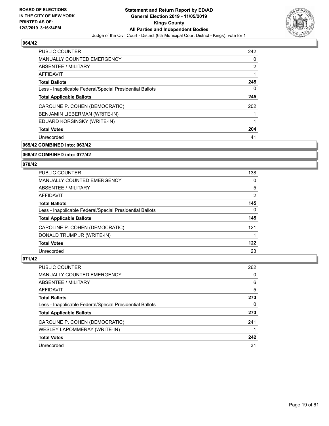

| <b>PUBLIC COUNTER</b>                                    | 242 |
|----------------------------------------------------------|-----|
| <b>MANUALLY COUNTED EMERGENCY</b>                        | 0   |
| ABSENTEE / MILITARY                                      | 2   |
| <b>AFFIDAVIT</b>                                         |     |
| <b>Total Ballots</b>                                     | 245 |
| Less - Inapplicable Federal/Special Presidential Ballots | 0   |
| <b>Total Applicable Ballots</b>                          | 245 |
| CAROLINE P. COHEN (DEMOCRATIC)                           | 202 |
| BENJAMIN LIEBERMAN (WRITE-IN)                            |     |
| EDUARD KORSINSKY (WRITE-IN)                              |     |
| <b>Total Votes</b>                                       | 204 |
| Unrecorded                                               | 41  |

**065/42 COMBINED into: 063/42**

**068/42 COMBINED into: 077/42**

#### **070/42**

| <b>PUBLIC COUNTER</b>                                    | 138            |
|----------------------------------------------------------|----------------|
| <b>MANUALLY COUNTED EMERGENCY</b>                        | 0              |
| ABSENTEE / MILITARY                                      | 5              |
| <b>AFFIDAVIT</b>                                         | $\overline{2}$ |
| <b>Total Ballots</b>                                     | 145            |
| Less - Inapplicable Federal/Special Presidential Ballots | 0              |
| <b>Total Applicable Ballots</b>                          | 145            |
| CAROLINE P. COHEN (DEMOCRATIC)                           | 121            |
| DONALD TRUMP JR (WRITE-IN)                               |                |
| <b>Total Votes</b>                                       | 122            |
| Unrecorded                                               | 23             |

| <b>PUBLIC COUNTER</b>                                    | 262 |
|----------------------------------------------------------|-----|
| MANUALLY COUNTED EMERGENCY                               | 0   |
| ABSENTEE / MILITARY                                      | 6   |
| AFFIDAVIT                                                | 5   |
| <b>Total Ballots</b>                                     | 273 |
| Less - Inapplicable Federal/Special Presidential Ballots | 0   |
| <b>Total Applicable Ballots</b>                          | 273 |
| CAROLINE P. COHEN (DEMOCRATIC)                           | 241 |
| WESLEY LAPOMMERAY (WRITE-IN)                             |     |
| <b>Total Votes</b>                                       | 242 |
| Unrecorded                                               | 31  |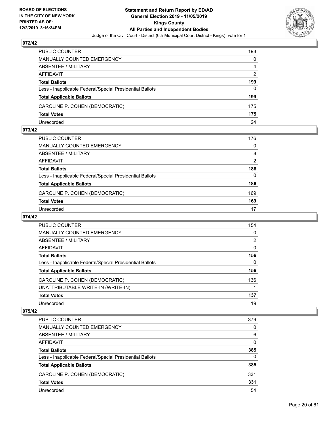

| PUBLIC COUNTER                                           | 193           |
|----------------------------------------------------------|---------------|
| <b>MANUALLY COUNTED EMERGENCY</b>                        | 0             |
| <b>ABSENTEE / MILITARY</b>                               | 4             |
| AFFIDAVIT                                                | $\mathcal{P}$ |
| <b>Total Ballots</b>                                     | 199           |
| Less - Inapplicable Federal/Special Presidential Ballots | 0             |
| <b>Total Applicable Ballots</b>                          | 199           |
| CAROLINE P. COHEN (DEMOCRATIC)                           | 175           |
| <b>Total Votes</b>                                       | 175           |
| Unrecorded                                               | 24            |

#### **073/42**

| PUBLIC COUNTER                                           | 176      |
|----------------------------------------------------------|----------|
|                                                          |          |
| <b>MANUALLY COUNTED EMERGENCY</b>                        | $\Omega$ |
| <b>ABSENTEE / MILITARY</b>                               | 8        |
| <b>AFFIDAVIT</b>                                         | 2        |
| <b>Total Ballots</b>                                     | 186      |
| Less - Inapplicable Federal/Special Presidential Ballots | $\Omega$ |
| <b>Total Applicable Ballots</b>                          | 186      |
| CAROLINE P. COHEN (DEMOCRATIC)                           | 169      |
| <b>Total Votes</b>                                       | 169      |
| Unrecorded                                               | 17       |

# **074/42**

| <b>PUBLIC COUNTER</b>                                    | 154            |
|----------------------------------------------------------|----------------|
| MANUALLY COUNTED EMERGENCY                               | 0              |
| ABSENTEE / MILITARY                                      | $\overline{2}$ |
| <b>AFFIDAVIT</b>                                         | 0              |
| <b>Total Ballots</b>                                     | 156            |
| Less - Inapplicable Federal/Special Presidential Ballots | $\mathbf{0}$   |
| <b>Total Applicable Ballots</b>                          | 156            |
| CAROLINE P. COHEN (DEMOCRATIC)                           | 136            |
| UNATTRIBUTABLE WRITE-IN (WRITE-IN)                       |                |
| <b>Total Votes</b>                                       | 137            |
| Unrecorded                                               | 19             |

| <b>PUBLIC COUNTER</b>                                    | 379      |
|----------------------------------------------------------|----------|
| <b>MANUALLY COUNTED EMERGENCY</b>                        | $\Omega$ |
| ABSENTEE / MILITARY                                      | 6        |
| AFFIDAVIT                                                | $\Omega$ |
| <b>Total Ballots</b>                                     | 385      |
| Less - Inapplicable Federal/Special Presidential Ballots | 0        |
| <b>Total Applicable Ballots</b>                          | 385      |
| CAROLINE P. COHEN (DEMOCRATIC)                           | 331      |
| <b>Total Votes</b>                                       | 331      |
| Unrecorded                                               | 54       |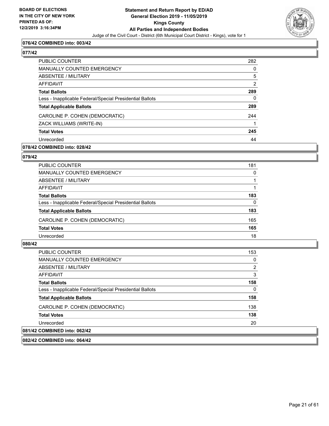

# **076/42 COMBINED into: 003/42**

# **077/42**

| PUBLIC COUNTER                                           | 282           |
|----------------------------------------------------------|---------------|
| <b>MANUALLY COUNTED EMERGENCY</b>                        | 0             |
| ABSENTEE / MILITARY                                      | 5             |
| AFFIDAVIT                                                | $\mathcal{P}$ |
| <b>Total Ballots</b>                                     | 289           |
| Less - Inapplicable Federal/Special Presidential Ballots | 0             |
| <b>Total Applicable Ballots</b>                          | 289           |
| CAROLINE P. COHEN (DEMOCRATIC)                           | 244           |
| ZACK WILLIAMS (WRITE-IN)                                 |               |
| <b>Total Votes</b>                                       | 245           |
| Unrecorded                                               | 44            |
|                                                          |               |

# **078/42 COMBINED into: 028/42**

# **079/42**

| PUBLIC COUNTER                                           | 181 |
|----------------------------------------------------------|-----|
| MANUALLY COUNTED EMERGENCY                               | 0   |
| ABSENTEE / MILITARY                                      |     |
| AFFIDAVIT                                                |     |
| <b>Total Ballots</b>                                     | 183 |
| Less - Inapplicable Federal/Special Presidential Ballots | 0   |
| <b>Total Applicable Ballots</b>                          | 183 |
| CAROLINE P. COHEN (DEMOCRATIC)                           | 165 |
| <b>Total Votes</b>                                       | 165 |
| Unrecorded                                               | 18  |

# **080/42**

| PUBLIC COUNTER                                           | 153 |
|----------------------------------------------------------|-----|
| MANUALLY COUNTED EMERGENCY                               | 0   |
| ABSENTEE / MILITARY                                      | 2   |
| AFFIDAVIT                                                | 3   |
| <b>Total Ballots</b>                                     | 158 |
| Less - Inapplicable Federal/Special Presidential Ballots | 0   |
| <b>Total Applicable Ballots</b>                          | 158 |
| CAROLINE P. COHEN (DEMOCRATIC)                           | 138 |
| <b>Total Votes</b>                                       | 138 |
| Unrecorded                                               | 20  |
| 081/42 COMBINED into: 062/42                             |     |

**082/42 COMBINED into: 064/42**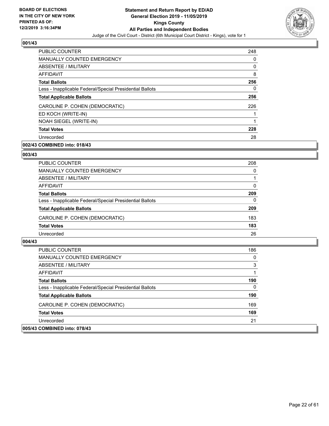

| <b>PUBLIC COUNTER</b>                                    | 248 |
|----------------------------------------------------------|-----|
| <b>MANUALLY COUNTED EMERGENCY</b>                        | 0   |
| ABSENTEE / MILITARY                                      | 0   |
| AFFIDAVIT                                                | 8   |
| <b>Total Ballots</b>                                     | 256 |
| Less - Inapplicable Federal/Special Presidential Ballots | 0   |
| <b>Total Applicable Ballots</b>                          | 256 |
| CAROLINE P. COHEN (DEMOCRATIC)                           | 226 |
| ED KOCH (WRITE-IN)                                       |     |
| NOAH SIEGEL (WRITE-IN)                                   | 1   |
| <b>Total Votes</b>                                       | 228 |
| Unrecorded                                               | 28  |

# **002/43 COMBINED into: 018/43**

# **003/43**

| <b>PUBLIC COUNTER</b>                                    | 208      |
|----------------------------------------------------------|----------|
| MANUALLY COUNTED EMERGENCY                               | 0        |
| ABSENTEE / MILITARY                                      |          |
| AFFIDAVIT                                                | 0        |
| <b>Total Ballots</b>                                     | 209      |
| Less - Inapplicable Federal/Special Presidential Ballots | $\Omega$ |
| <b>Total Applicable Ballots</b>                          | 209      |
| CAROLINE P. COHEN (DEMOCRATIC)                           | 183      |
| <b>Total Votes</b>                                       | 183      |
| Unrecorded                                               | 26       |

| PUBLIC COUNTER                                           | 186      |
|----------------------------------------------------------|----------|
| MANUALLY COUNTED EMERGENCY                               | 0        |
| ABSENTEE / MILITARY                                      | 3        |
| AFFIDAVIT                                                |          |
| <b>Total Ballots</b>                                     | 190      |
| Less - Inapplicable Federal/Special Presidential Ballots | $\Omega$ |
| <b>Total Applicable Ballots</b>                          | 190      |
| CAROLINE P. COHEN (DEMOCRATIC)                           | 169      |
| <b>Total Votes</b>                                       | 169      |
| Unrecorded                                               | 21       |
| 005/43 COMBINED into: 078/43                             |          |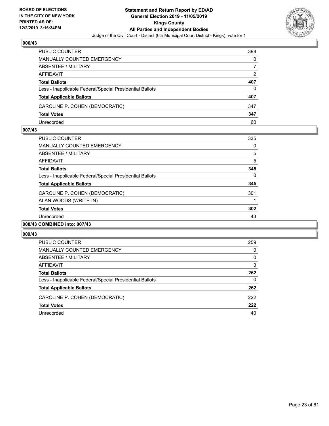

| PUBLIC COUNTER                                           | 398 |
|----------------------------------------------------------|-----|
| <b>MANUALLY COUNTED EMERGENCY</b>                        | 0   |
| ABSENTEE / MILITARY                                      |     |
| AFFIDAVIT                                                | 2   |
| <b>Total Ballots</b>                                     | 407 |
| Less - Inapplicable Federal/Special Presidential Ballots | 0   |
| <b>Total Applicable Ballots</b>                          | 407 |
| CAROLINE P. COHEN (DEMOCRATIC)                           | 347 |
| <b>Total Votes</b>                                       | 347 |
| Unrecorded                                               | 60  |

#### **007/43**

| <b>PUBLIC COUNTER</b>                                    | 335 |
|----------------------------------------------------------|-----|
| <b>MANUALLY COUNTED EMERGENCY</b>                        | 0   |
| ABSENTEE / MILITARY                                      | 5   |
| AFFIDAVIT                                                | 5   |
| <b>Total Ballots</b>                                     | 345 |
| Less - Inapplicable Federal/Special Presidential Ballots | 0   |
| <b>Total Applicable Ballots</b>                          | 345 |
| CAROLINE P. COHEN (DEMOCRATIC)                           | 301 |
| ALAN WOODS (WRITE-IN)                                    | 1   |
| <b>Total Votes</b>                                       | 302 |
| Unrecorded                                               | 43  |
| 008/43 COMBINED into: 007/43                             |     |

| <b>PUBLIC COUNTER</b>                                    | 259      |
|----------------------------------------------------------|----------|
| MANUALLY COUNTED EMERGENCY                               | 0        |
| ABSENTEE / MILITARY                                      | $\Omega$ |
| AFFIDAVIT                                                | 3        |
| <b>Total Ballots</b>                                     | 262      |
| Less - Inapplicable Federal/Special Presidential Ballots | 0        |
| <b>Total Applicable Ballots</b>                          | 262      |
| CAROLINE P. COHEN (DEMOCRATIC)                           | 222      |
| <b>Total Votes</b>                                       | 222      |
| Unrecorded                                               | 40       |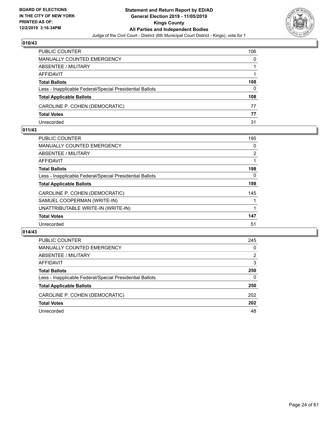

| PUBLIC COUNTER                                           | 106 |
|----------------------------------------------------------|-----|
| <b>MANUALLY COUNTED EMERGENCY</b>                        | 0   |
| <b>ABSENTEE / MILITARY</b>                               |     |
| AFFIDAVIT                                                |     |
| <b>Total Ballots</b>                                     | 108 |
| Less - Inapplicable Federal/Special Presidential Ballots | 0   |
| <b>Total Applicable Ballots</b>                          | 108 |
| CAROLINE P. COHEN (DEMOCRATIC)                           | 77  |
| <b>Total Votes</b>                                       | 77  |
| Unrecorded                                               | 31  |

#### **011/43**

| PUBLIC COUNTER                                           | 195            |
|----------------------------------------------------------|----------------|
| <b>MANUALLY COUNTED EMERGENCY</b>                        | 0              |
| ABSENTEE / MILITARY                                      | $\overline{2}$ |
| AFFIDAVIT                                                |                |
| <b>Total Ballots</b>                                     | 198            |
| Less - Inapplicable Federal/Special Presidential Ballots | 0              |
| <b>Total Applicable Ballots</b>                          | 198            |
| CAROLINE P. COHEN (DEMOCRATIC)                           | 145            |
| SAMUEL COOPERMAN (WRITE-IN)                              |                |
| UNATTRIBUTABLE WRITE-IN (WRITE-IN)                       |                |
| <b>Total Votes</b>                                       | 147            |
| Unrecorded                                               | 51             |
|                                                          |                |

| PUBLIC COUNTER                                           | 245      |
|----------------------------------------------------------|----------|
| <b>MANUALLY COUNTED EMERGENCY</b>                        | 0        |
| ABSENTEE / MILITARY                                      | 2        |
| AFFIDAVIT                                                | 3        |
| <b>Total Ballots</b>                                     | 250      |
| Less - Inapplicable Federal/Special Presidential Ballots | $\Omega$ |
| <b>Total Applicable Ballots</b>                          | 250      |
| CAROLINE P. COHEN (DEMOCRATIC)                           | 202      |
| <b>Total Votes</b>                                       | 202      |
| Unrecorded                                               | 48       |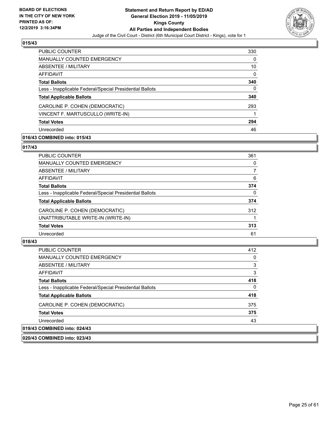

| PUBLIC COUNTER                                           | 330 |
|----------------------------------------------------------|-----|
| <b>MANUALLY COUNTED EMERGENCY</b>                        | 0   |
| ABSENTEE / MILITARY                                      | 10  |
| AFFIDAVIT                                                | 0   |
| <b>Total Ballots</b>                                     | 340 |
| Less - Inapplicable Federal/Special Presidential Ballots | 0   |
| <b>Total Applicable Ballots</b>                          | 340 |
| CAROLINE P. COHEN (DEMOCRATIC)                           | 293 |
| VINCENT F. MARTUSCULLO (WRITE-IN)                        |     |
| <b>Total Votes</b>                                       | 294 |
| Unrecorded                                               | 46  |

# **016/43 COMBINED into: 015/43**

# **017/43**

| PUBLIC COUNTER                                           | 361          |
|----------------------------------------------------------|--------------|
| <b>MANUALLY COUNTED EMERGENCY</b>                        | 0            |
| <b>ABSENTEE / MILITARY</b>                               | 7            |
| <b>AFFIDAVIT</b>                                         | 6            |
| <b>Total Ballots</b>                                     | 374          |
| Less - Inapplicable Federal/Special Presidential Ballots | $\mathbf{0}$ |
| <b>Total Applicable Ballots</b>                          | 374          |
| CAROLINE P. COHEN (DEMOCRATIC)                           | 312          |
| UNATTRIBUTABLE WRITE-IN (WRITE-IN)                       |              |
| <b>Total Votes</b>                                       | 313          |
| Unrecorded                                               | 61           |

# **018/43**

| <b>PUBLIC COUNTER</b>                                    | 412          |
|----------------------------------------------------------|--------------|
| <b>MANUALLY COUNTED EMERGENCY</b>                        | 0            |
| ABSENTEE / MILITARY                                      | 3            |
| <b>AFFIDAVIT</b>                                         | 3            |
| <b>Total Ballots</b>                                     | 418          |
| Less - Inapplicable Federal/Special Presidential Ballots | $\mathbf{0}$ |
| <b>Total Applicable Ballots</b>                          | 418          |
| CAROLINE P. COHEN (DEMOCRATIC)                           | 375          |
| <b>Total Votes</b>                                       | 375          |
| Unrecorded                                               | 43           |
| 019/43 COMBINED into: 024/43                             |              |

**020/43 COMBINED into: 023/43**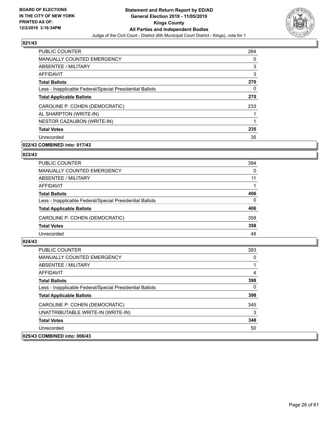

| <b>PUBLIC COUNTER</b>                                    | 264 |
|----------------------------------------------------------|-----|
| <b>MANUALLY COUNTED EMERGENCY</b>                        | 0   |
| ABSENTEE / MILITARY                                      | 3   |
| <b>AFFIDAVIT</b>                                         | 3   |
| <b>Total Ballots</b>                                     | 270 |
| Less - Inapplicable Federal/Special Presidential Ballots | 0   |
| <b>Total Applicable Ballots</b>                          | 270 |
| CAROLINE P. COHEN (DEMOCRATIC)                           | 233 |
| AL SHARPTON (WRITE-IN)                                   |     |
| NESTOR CAZAUBON (WRITE-IN)                               | 1   |
| <b>Total Votes</b>                                       | 235 |
| Unrecorded                                               | 35  |

# **022/43 COMBINED into: 017/43**

# **023/43**

| PUBLIC COUNTER                                           | 394      |
|----------------------------------------------------------|----------|
| <b>MANUALLY COUNTED EMERGENCY</b>                        | $\Omega$ |
| ABSENTEE / MILITARY                                      | 11       |
| AFFIDAVIT                                                |          |
| <b>Total Ballots</b>                                     | 406      |
| Less - Inapplicable Federal/Special Presidential Ballots | $\Omega$ |
| <b>Total Applicable Ballots</b>                          | 406      |
| CAROLINE P. COHEN (DEMOCRATIC)                           | 358      |
| <b>Total Votes</b>                                       | 358      |
| Unrecorded                                               | 48       |

| <b>PUBLIC COUNTER</b>                                    | 393 |
|----------------------------------------------------------|-----|
| <b>MANUALLY COUNTED EMERGENCY</b>                        | 0   |
| ABSENTEE / MILITARY                                      |     |
| AFFIDAVIT                                                | 4   |
| <b>Total Ballots</b>                                     | 398 |
| Less - Inapplicable Federal/Special Presidential Ballots | 0   |
| <b>Total Applicable Ballots</b>                          | 398 |
| CAROLINE P. COHEN (DEMOCRATIC)                           | 345 |
| UNATTRIBUTABLE WRITE-IN (WRITE-IN)                       | 3   |
| <b>Total Votes</b>                                       | 348 |
| Unrecorded                                               | 50  |
| 025/43 COMBINED into: 006/43                             |     |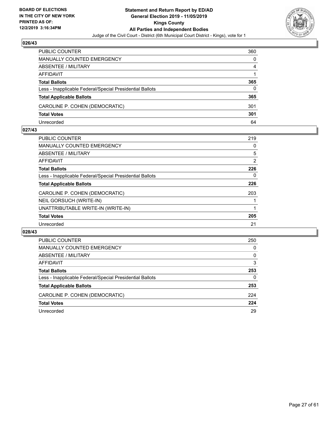

| PUBLIC COUNTER                                           | 360 |
|----------------------------------------------------------|-----|
| <b>MANUALLY COUNTED EMERGENCY</b>                        | 0   |
| ABSENTEE / MILITARY                                      | 4   |
| AFFIDAVIT                                                |     |
| <b>Total Ballots</b>                                     | 365 |
| Less - Inapplicable Federal/Special Presidential Ballots | 0   |
| <b>Total Applicable Ballots</b>                          | 365 |
| CAROLINE P. COHEN (DEMOCRATIC)                           | 301 |
| <b>Total Votes</b>                                       | 301 |
| Unrecorded                                               | 64  |

#### **027/43**

| 219            |
|----------------|
|                |
| 0              |
| 5              |
| $\overline{2}$ |
| 226            |
| 0              |
| 226            |
| 203            |
|                |
|                |
| 205            |
| 21             |
|                |

| PUBLIC COUNTER                                           | 250      |
|----------------------------------------------------------|----------|
| <b>MANUALLY COUNTED EMERGENCY</b>                        | 0        |
| ABSENTEE / MILITARY                                      | $\Omega$ |
| AFFIDAVIT                                                | 3        |
| <b>Total Ballots</b>                                     | 253      |
| Less - Inapplicable Federal/Special Presidential Ballots | 0        |
| <b>Total Applicable Ballots</b>                          | 253      |
| CAROLINE P. COHEN (DEMOCRATIC)                           | 224      |
| <b>Total Votes</b>                                       | 224      |
| Unrecorded                                               | 29       |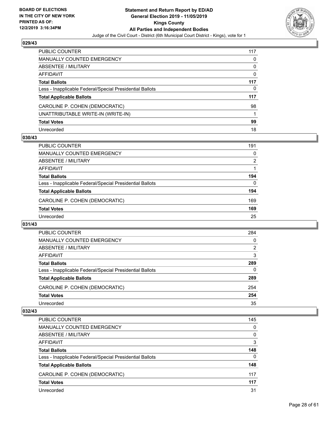

| PUBLIC COUNTER                                           | 117      |
|----------------------------------------------------------|----------|
| <b>MANUALLY COUNTED EMERGENCY</b>                        | 0        |
| <b>ABSENTEE / MILITARY</b>                               | 0        |
| <b>AFFIDAVIT</b>                                         | $\Omega$ |
| <b>Total Ballots</b>                                     | 117      |
| Less - Inapplicable Federal/Special Presidential Ballots | 0        |
| <b>Total Applicable Ballots</b>                          | 117      |
| CAROLINE P. COHEN (DEMOCRATIC)                           | 98       |
| UNATTRIBUTABLE WRITE-IN (WRITE-IN)                       |          |
| <b>Total Votes</b>                                       | 99       |
| Unrecorded                                               | 18       |

# **030/43**

| <b>PUBLIC COUNTER</b>                                    | 191            |
|----------------------------------------------------------|----------------|
| MANUALLY COUNTED EMERGENCY                               | 0              |
| ABSENTEE / MILITARY                                      | $\overline{2}$ |
| AFFIDAVIT                                                |                |
| <b>Total Ballots</b>                                     | 194            |
| Less - Inapplicable Federal/Special Presidential Ballots | 0              |
| <b>Total Applicable Ballots</b>                          | 194            |
| CAROLINE P. COHEN (DEMOCRATIC)                           | 169            |
| <b>Total Votes</b>                                       | 169            |
| Unrecorded                                               | 25             |

#### **031/43**

| <b>PUBLIC COUNTER</b>                                    | 284      |
|----------------------------------------------------------|----------|
| <b>MANUALLY COUNTED EMERGENCY</b>                        | $\Omega$ |
| ABSENTEE / MILITARY                                      | 2        |
| AFFIDAVIT                                                | 3        |
| <b>Total Ballots</b>                                     | 289      |
| Less - Inapplicable Federal/Special Presidential Ballots | $\Omega$ |
| <b>Total Applicable Ballots</b>                          | 289      |
| CAROLINE P. COHEN (DEMOCRATIC)                           | 254      |
| <b>Total Votes</b>                                       | 254      |
| Unrecorded                                               | 35       |

| <b>PUBLIC COUNTER</b>                                    | 145      |
|----------------------------------------------------------|----------|
| <b>MANUALLY COUNTED EMERGENCY</b>                        | $\Omega$ |
| ABSENTEE / MILITARY                                      | $\Omega$ |
| AFFIDAVIT                                                | 3        |
| <b>Total Ballots</b>                                     | 148      |
| Less - Inapplicable Federal/Special Presidential Ballots | $\Omega$ |
| <b>Total Applicable Ballots</b>                          | 148      |
| CAROLINE P. COHEN (DEMOCRATIC)                           | 117      |
| <b>Total Votes</b>                                       | 117      |
| Unrecorded                                               | 31       |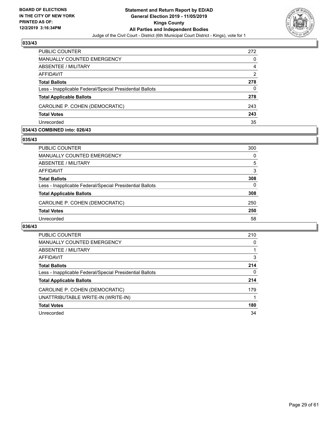

| <b>PUBLIC COUNTER</b>                                    | 272            |
|----------------------------------------------------------|----------------|
| <b>MANUALLY COUNTED EMERGENCY</b>                        | 0              |
| ABSENTEE / MILITARY                                      | 4              |
| AFFIDAVIT                                                | $\overline{2}$ |
| <b>Total Ballots</b>                                     | 278            |
| Less - Inapplicable Federal/Special Presidential Ballots | 0              |
| <b>Total Applicable Ballots</b>                          | 278            |
| CAROLINE P. COHEN (DEMOCRATIC)                           | 243            |
| <b>Total Votes</b>                                       | 243            |
| Unrecorded                                               | 35             |

#### **034/43 COMBINED into: 026/43**

#### **035/43**

| <b>PUBLIC COUNTER</b>                                    | 300 |
|----------------------------------------------------------|-----|
| <b>MANUALLY COUNTED EMERGENCY</b>                        | 0   |
| ABSENTEE / MILITARY                                      | 5   |
| AFFIDAVIT                                                | 3   |
| <b>Total Ballots</b>                                     | 308 |
| Less - Inapplicable Federal/Special Presidential Ballots | 0   |
| <b>Total Applicable Ballots</b>                          | 308 |
| CAROLINE P. COHEN (DEMOCRATIC)                           | 250 |
| <b>Total Votes</b>                                       | 250 |
| Unrecorded                                               | 58  |
|                                                          |     |

| <b>PUBLIC COUNTER</b>                                    | 210      |
|----------------------------------------------------------|----------|
| <b>MANUALLY COUNTED EMERGENCY</b>                        | 0        |
| ABSENTEE / MILITARY                                      |          |
| AFFIDAVIT                                                | 3        |
| <b>Total Ballots</b>                                     | 214      |
| Less - Inapplicable Federal/Special Presidential Ballots | $\Omega$ |
| <b>Total Applicable Ballots</b>                          | 214      |
| CAROLINE P. COHEN (DEMOCRATIC)                           | 179      |
| UNATTRIBUTABLE WRITE-IN (WRITE-IN)                       |          |
| <b>Total Votes</b>                                       | 180      |
| Unrecorded                                               | 34       |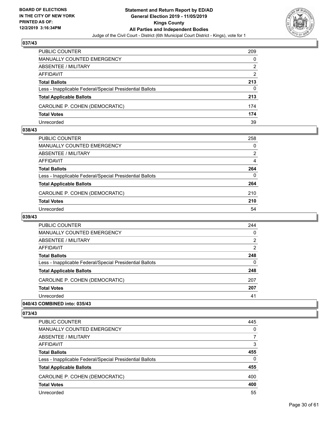

| <b>PUBLIC COUNTER</b>                                    | 209 |
|----------------------------------------------------------|-----|
| <b>MANUALLY COUNTED EMERGENCY</b>                        | 0   |
| ABSENTEE / MILITARY                                      | 2   |
| AFFIDAVIT                                                | 2   |
| <b>Total Ballots</b>                                     | 213 |
| Less - Inapplicable Federal/Special Presidential Ballots | 0   |
| <b>Total Applicable Ballots</b>                          | 213 |
| CAROLINE P. COHEN (DEMOCRATIC)                           | 174 |
| <b>Total Votes</b>                                       | 174 |
| Unrecorded                                               | 39  |

#### **038/43**

| PUBLIC COUNTER                                           | 258            |
|----------------------------------------------------------|----------------|
| <b>MANUALLY COUNTED EMERGENCY</b>                        | $\Omega$       |
| ABSENTEE / MILITARY                                      | $\overline{2}$ |
| AFFIDAVIT                                                | 4              |
| <b>Total Ballots</b>                                     | 264            |
| Less - Inapplicable Federal/Special Presidential Ballots | 0              |
| <b>Total Applicable Ballots</b>                          | 264            |
| CAROLINE P. COHEN (DEMOCRATIC)                           | 210            |
| <b>Total Votes</b>                                       | 210            |
| Unrecorded                                               | 54             |
|                                                          |                |

# **039/43**

| <b>PUBLIC COUNTER</b>                                    | 244      |
|----------------------------------------------------------|----------|
| <b>MANUALLY COUNTED EMERGENCY</b>                        | $\Omega$ |
| ABSENTEE / MILITARY                                      | 2        |
| <b>AFFIDAVIT</b>                                         | 2        |
| <b>Total Ballots</b>                                     | 248      |
| Less - Inapplicable Federal/Special Presidential Ballots | $\Omega$ |
| <b>Total Applicable Ballots</b>                          | 248      |
| CAROLINE P. COHEN (DEMOCRATIC)                           | 207      |
| <b>Total Votes</b>                                       | 207      |
| Unrecorded                                               | 41       |
|                                                          |          |

# **040/43 COMBINED into: 035/43**

| PUBLIC COUNTER                                           | 445      |
|----------------------------------------------------------|----------|
| <b>MANUALLY COUNTED EMERGENCY</b>                        | $\Omega$ |
| <b>ABSENTEE / MILITARY</b>                               | 7        |
| AFFIDAVIT                                                | 3        |
| <b>Total Ballots</b>                                     | 455      |
| Less - Inapplicable Federal/Special Presidential Ballots | $\Omega$ |
| <b>Total Applicable Ballots</b>                          | 455      |
| CAROLINE P. COHEN (DEMOCRATIC)                           | 400      |
| <b>Total Votes</b>                                       | 400      |
| Unrecorded                                               | 55       |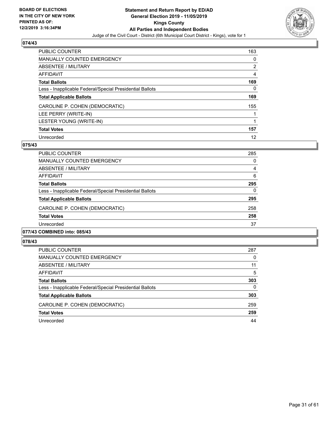

| <b>PUBLIC COUNTER</b>                                    | 163 |
|----------------------------------------------------------|-----|
| MANUALLY COUNTED EMERGENCY                               | 0   |
| ABSENTEE / MILITARY                                      | 2   |
| AFFIDAVIT                                                | 4   |
| <b>Total Ballots</b>                                     | 169 |
| Less - Inapplicable Federal/Special Presidential Ballots | 0   |
| <b>Total Applicable Ballots</b>                          | 169 |
| CAROLINE P. COHEN (DEMOCRATIC)                           | 155 |
| LEE PERRY (WRITE-IN)                                     |     |
| LESTER YOUNG (WRITE-IN)                                  | 1   |
| <b>Total Votes</b>                                       | 157 |
| Unrecorded                                               | 12  |

# **075/43**

| PUBLIC COUNTER                                           | 285      |
|----------------------------------------------------------|----------|
| <b>MANUALLY COUNTED EMERGENCY</b>                        | $\Omega$ |
| ABSENTEE / MILITARY                                      | 4        |
| AFFIDAVIT                                                | 6        |
| <b>Total Ballots</b>                                     | 295      |
| Less - Inapplicable Federal/Special Presidential Ballots | $\Omega$ |
| <b>Total Applicable Ballots</b>                          | 295      |
| CAROLINE P. COHEN (DEMOCRATIC)                           | 258      |
| <b>Total Votes</b>                                       | 258      |
| Unrecorded                                               | 37       |
|                                                          |          |

# **077/43 COMBINED into: 085/43**

| <b>PUBLIC COUNTER</b>                                    | 287      |
|----------------------------------------------------------|----------|
| <b>MANUALLY COUNTED EMERGENCY</b>                        | 0        |
| ABSENTEE / MILITARY                                      | 11       |
| AFFIDAVIT                                                | 5        |
| <b>Total Ballots</b>                                     | 303      |
| Less - Inapplicable Federal/Special Presidential Ballots | $\Omega$ |
| <b>Total Applicable Ballots</b>                          | 303      |
| CAROLINE P. COHEN (DEMOCRATIC)                           | 259      |
| <b>Total Votes</b>                                       | 259      |
| Unrecorded                                               | 44       |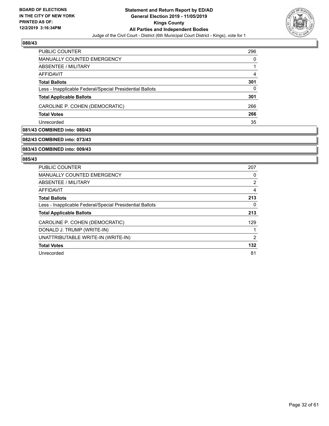

| PUBLIC COUNTER                                           | 296 |
|----------------------------------------------------------|-----|
| MANUALLY COUNTED EMERGENCY                               | 0   |
| ABSENTEE / MILITARY                                      |     |
| AFFIDAVIT                                                | 4   |
| <b>Total Ballots</b>                                     | 301 |
| Less - Inapplicable Federal/Special Presidential Ballots | 0   |
| <b>Total Applicable Ballots</b>                          | 301 |
| CAROLINE P. COHEN (DEMOCRATIC)                           | 266 |
| <b>Total Votes</b>                                       | 266 |
| Unrecorded                                               | 35  |

# **081/43 COMBINED into: 080/43**

# **082/43 COMBINED into: 073/43**

#### **083/43 COMBINED into: 009/43**

| <b>PUBLIC COUNTER</b>                                    | 207            |
|----------------------------------------------------------|----------------|
| <b>MANUALLY COUNTED EMERGENCY</b>                        | 0              |
| ABSENTEE / MILITARY                                      | $\overline{2}$ |
| <b>AFFIDAVIT</b>                                         | 4              |
| <b>Total Ballots</b>                                     | 213            |
| Less - Inapplicable Federal/Special Presidential Ballots | 0              |
| <b>Total Applicable Ballots</b>                          | 213            |
| CAROLINE P. COHEN (DEMOCRATIC)                           | 129            |
| DONALD J. TRUMP (WRITE-IN)                               |                |
| UNATTRIBUTABLE WRITE-IN (WRITE-IN)                       | $\overline{2}$ |
| <b>Total Votes</b>                                       | 132            |
| Unrecorded                                               | 81             |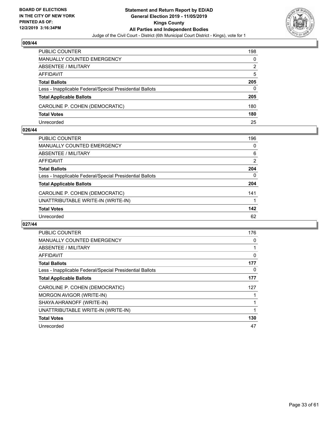

| <b>PUBLIC COUNTER</b>                                    | 198 |
|----------------------------------------------------------|-----|
| <b>MANUALLY COUNTED EMERGENCY</b>                        | 0   |
| ABSENTEE / MILITARY                                      | 2   |
| AFFIDAVIT                                                | 5   |
| <b>Total Ballots</b>                                     | 205 |
| Less - Inapplicable Federal/Special Presidential Ballots | 0   |
| <b>Total Applicable Ballots</b>                          | 205 |
| CAROLINE P. COHEN (DEMOCRATIC)                           | 180 |
| <b>Total Votes</b>                                       | 180 |
| Unrecorded                                               | 25  |

#### **026/44**

| PUBLIC COUNTER                                           | 196      |
|----------------------------------------------------------|----------|
| <b>MANUALLY COUNTED EMERGENCY</b>                        | 0        |
| ABSENTEE / MILITARY                                      | 6        |
| <b>AFFIDAVIT</b>                                         | 2        |
| <b>Total Ballots</b>                                     | 204      |
| Less - Inapplicable Federal/Special Presidential Ballots | $\Omega$ |
| <b>Total Applicable Ballots</b>                          | 204      |
| CAROLINE P. COHEN (DEMOCRATIC)                           | 141      |
| UNATTRIBUTABLE WRITE-IN (WRITE-IN)                       | 1        |
| <b>Total Votes</b>                                       | 142      |
| Unrecorded                                               | 62       |
|                                                          |          |

| <b>PUBLIC COUNTER</b>                                    | 176 |
|----------------------------------------------------------|-----|
| <b>MANUALLY COUNTED EMERGENCY</b>                        | 0   |
| ABSENTEE / MILITARY                                      |     |
| AFFIDAVIT                                                | 0   |
| <b>Total Ballots</b>                                     | 177 |
| Less - Inapplicable Federal/Special Presidential Ballots | 0   |
| <b>Total Applicable Ballots</b>                          | 177 |
| CAROLINE P. COHEN (DEMOCRATIC)                           | 127 |
| MORGON AVIGOR (WRITE-IN)                                 |     |
| SHAYA AHRANOFF (WRITE-IN)                                |     |
| UNATTRIBUTABLE WRITE-IN (WRITE-IN)                       |     |
| <b>Total Votes</b>                                       | 130 |
| Unrecorded                                               | 47  |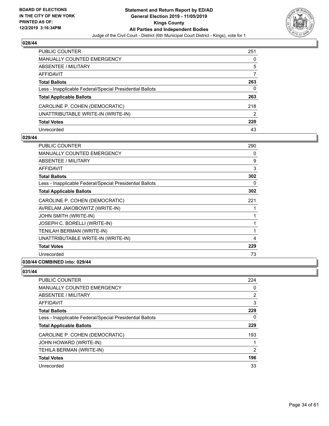

| PUBLIC COUNTER                                           | 251 |
|----------------------------------------------------------|-----|
| <b>MANUALLY COUNTED EMERGENCY</b>                        | 0   |
| ABSENTEE / MILITARY                                      | 5   |
| AFFIDAVIT                                                |     |
| <b>Total Ballots</b>                                     | 263 |
| Less - Inapplicable Federal/Special Presidential Ballots | 0   |
| <b>Total Applicable Ballots</b>                          | 263 |
| CAROLINE P. COHEN (DEMOCRATIC)                           | 218 |
| UNATTRIBUTABLE WRITE-IN (WRITE-IN)                       | 2   |
| <b>Total Votes</b>                                       | 220 |
| Unrecorded                                               | 43  |

# **029/44**

| <b>PUBLIC COUNTER</b>                                    | 290      |
|----------------------------------------------------------|----------|
| <b>MANUALLY COUNTED EMERGENCY</b>                        | $\Omega$ |
| ABSENTEE / MILITARY                                      | 9        |
| AFFIDAVIT                                                | 3        |
| <b>Total Ballots</b>                                     | 302      |
| Less - Inapplicable Federal/Special Presidential Ballots | $\Omega$ |
| <b>Total Applicable Ballots</b>                          | 302      |
| CAROLINE P. COHEN (DEMOCRATIC)                           | 221      |
| AVRELAM JAKOBOWITZ (WRITE-IN)                            |          |
| JOHN SMITH (WRITE-IN)                                    |          |
| JOSEPH C. BORELLI (WRITE-IN)                             |          |
| TENILAH BERMAN (WRITE-IN)                                | 1        |
| UNATTRIBUTABLE WRITE-IN (WRITE-IN)                       | 4        |
| <b>Total Votes</b>                                       | 229      |
| Unrecorded                                               | 73       |
| 030/44 COMBINED into: 029/44                             |          |

| PUBLIC COUNTER                                           | 224 |
|----------------------------------------------------------|-----|
| MANUALLY COUNTED EMERGENCY                               | 0   |
| ABSENTEE / MILITARY                                      | 2   |
| AFFIDAVIT                                                | 3   |
| <b>Total Ballots</b>                                     | 229 |
| Less - Inapplicable Federal/Special Presidential Ballots | 0   |
| <b>Total Applicable Ballots</b>                          | 229 |
| CAROLINE P. COHEN (DEMOCRATIC)                           | 193 |
| JOHN HOWARD (WRITE-IN)                                   | 1   |
| TEHILA BERMAN (WRITE-IN)                                 | 2   |
| <b>Total Votes</b>                                       | 196 |
| Unrecorded                                               | 33  |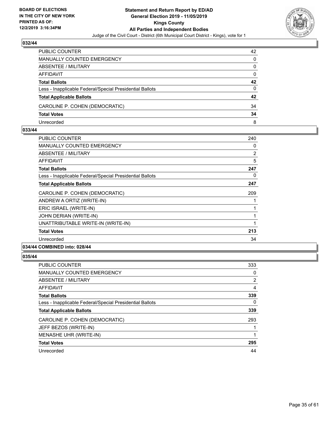

| <b>PUBLIC COUNTER</b>                                    | 42       |
|----------------------------------------------------------|----------|
| MANUALLY COUNTED EMERGENCY                               | $\Omega$ |
| ABSENTEE / MILITARY                                      | 0        |
| AFFIDAVIT                                                | $\Omega$ |
| <b>Total Ballots</b>                                     | 42       |
| Less - Inapplicable Federal/Special Presidential Ballots | 0        |
| <b>Total Applicable Ballots</b>                          | 42       |
| CAROLINE P. COHEN (DEMOCRATIC)                           | 34       |
| <b>Total Votes</b>                                       | 34       |
| Unrecorded                                               | 8        |

#### **033/44**

| <b>PUBLIC COUNTER</b>                                    | 240 |
|----------------------------------------------------------|-----|
| <b>MANUALLY COUNTED EMERGENCY</b>                        | 0   |
| ABSENTEE / MILITARY                                      | 2   |
| AFFIDAVIT                                                | 5   |
| <b>Total Ballots</b>                                     | 247 |
| Less - Inapplicable Federal/Special Presidential Ballots | 0   |
| <b>Total Applicable Ballots</b>                          | 247 |
| CAROLINE P. COHEN (DEMOCRATIC)                           | 209 |
| ANDREW A ORTIZ (WRITE-IN)                                |     |
| ERIC ISRAEL (WRITE-IN)                                   |     |
| JOHN DERIAN (WRITE-IN)                                   |     |
| UNATTRIBUTABLE WRITE-IN (WRITE-IN)                       | 1   |
| <b>Total Votes</b>                                       | 213 |
| Unrecorded                                               | 34  |
| 034/44 COMBINED into: 028/44                             |     |

| PUBLIC COUNTER                                           | 333 |
|----------------------------------------------------------|-----|
| <b>MANUALLY COUNTED EMERGENCY</b>                        | 0   |
| ABSENTEE / MILITARY                                      | 2   |
| AFFIDAVIT                                                | 4   |
| <b>Total Ballots</b>                                     | 339 |
| Less - Inapplicable Federal/Special Presidential Ballots | 0   |
| <b>Total Applicable Ballots</b>                          | 339 |
| CAROLINE P. COHEN (DEMOCRATIC)                           | 293 |
| JEFF BEZOS (WRITE-IN)                                    |     |
| MENASHE UHR (WRITE-IN)                                   |     |
| <b>Total Votes</b>                                       | 295 |
| Unrecorded                                               | 44  |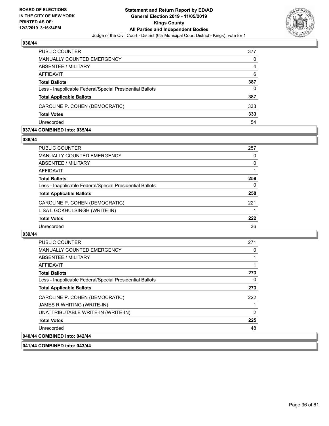

| <b>PUBLIC COUNTER</b>                                    | 377 |
|----------------------------------------------------------|-----|
| MANUALLY COUNTED EMERGENCY                               | 0   |
| ABSENTEE / MILITARY                                      | 4   |
| AFFIDAVIT                                                | 6   |
| <b>Total Ballots</b>                                     | 387 |
| Less - Inapplicable Federal/Special Presidential Ballots | 0   |
| <b>Total Applicable Ballots</b>                          | 387 |
| CAROLINE P. COHEN (DEMOCRATIC)                           | 333 |
| <b>Total Votes</b>                                       | 333 |
| Unrecorded                                               | 54  |

#### **037/44 COMBINED into: 035/44**

#### **038/44**

| PUBLIC COUNTER                                           | 257      |
|----------------------------------------------------------|----------|
| <b>MANUALLY COUNTED EMERGENCY</b>                        | 0        |
| <b>ABSENTEE / MILITARY</b>                               | $\Omega$ |
| <b>AFFIDAVIT</b>                                         |          |
| <b>Total Ballots</b>                                     | 258      |
| Less - Inapplicable Federal/Special Presidential Ballots | 0        |
| <b>Total Applicable Ballots</b>                          | 258      |
| CAROLINE P. COHEN (DEMOCRATIC)                           | 221      |
| LISA L GOKHULSINGH (WRITE-IN)                            |          |
| <b>Total Votes</b>                                       | 222      |
| Unrecorded                                               | 36       |
|                                                          |          |

#### **039/44**

| PUBLIC COUNTER                                           | 271 |
|----------------------------------------------------------|-----|
| <b>MANUALLY COUNTED EMERGENCY</b>                        | 0   |
| ABSENTEE / MILITARY                                      |     |
| <b>AFFIDAVIT</b>                                         |     |
| <b>Total Ballots</b>                                     | 273 |
| Less - Inapplicable Federal/Special Presidential Ballots | 0   |
| <b>Total Applicable Ballots</b>                          | 273 |
| CAROLINE P. COHEN (DEMOCRATIC)                           | 222 |
| JAMES R WHITING (WRITE-IN)                               |     |
| UNATTRIBUTABLE WRITE-IN (WRITE-IN)                       | 2   |
| <b>Total Votes</b>                                       | 225 |
| Unrecorded                                               | 48  |
| 040/44 COMBINED into: 042/44                             |     |

# **041/44 COMBINED into: 043/44**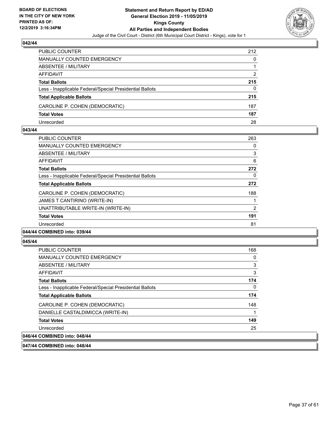

| PUBLIC COUNTER                                           | 212 |
|----------------------------------------------------------|-----|
| MANUALLY COUNTED EMERGENCY                               | 0   |
| <b>ABSENTEE / MILITARY</b>                               |     |
| AFFIDAVIT                                                | 2   |
| <b>Total Ballots</b>                                     | 215 |
| Less - Inapplicable Federal/Special Presidential Ballots | 0   |
| <b>Total Applicable Ballots</b>                          | 215 |
| CAROLINE P. COHEN (DEMOCRATIC)                           | 187 |
| <b>Total Votes</b>                                       | 187 |
| Unrecorded                                               | 28  |

#### **043/44**

| <b>PUBLIC COUNTER</b>                                    | 263 |
|----------------------------------------------------------|-----|
| <b>MANUALLY COUNTED EMERGENCY</b>                        | 0   |
| ABSENTEE / MILITARY                                      | 3   |
| AFFIDAVIT                                                | 6   |
| <b>Total Ballots</b>                                     | 272 |
| Less - Inapplicable Federal/Special Presidential Ballots | 0   |
| <b>Total Applicable Ballots</b>                          | 272 |
| CAROLINE P. COHEN (DEMOCRATIC)                           | 188 |
| JAMES T CANTIRINO (WRITE-IN)                             |     |
| UNATTRIBUTABLE WRITE-IN (WRITE-IN)                       | 2   |
| <b>Total Votes</b>                                       | 191 |
| Unrecorded                                               | 81  |
| A                                                        |     |

# **044/44 COMBINED into: 039/44**

#### **045/44**

| PUBLIC COUNTER                                           | 168 |
|----------------------------------------------------------|-----|
| MANUALLY COUNTED EMERGENCY                               | 0   |
| ABSENTEE / MILITARY                                      | 3   |
| AFFIDAVIT                                                | 3   |
| <b>Total Ballots</b>                                     | 174 |
| Less - Inapplicable Federal/Special Presidential Ballots | 0   |
| <b>Total Applicable Ballots</b>                          | 174 |
| CAROLINE P. COHEN (DEMOCRATIC)                           | 148 |
| DANIELLE CASTALDIMICCA (WRITE-IN)                        |     |
| <b>Total Votes</b>                                       | 149 |
| Unrecorded                                               | 25  |
| 046/44 COMBINED into: 048/44                             |     |

**047/44 COMBINED into: 048/44**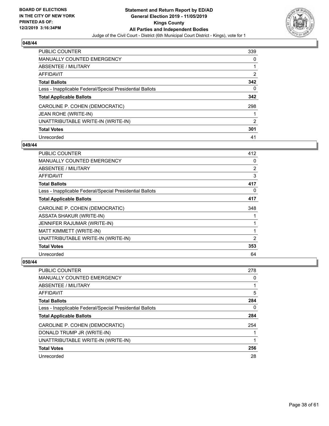

| PUBLIC COUNTER                                           | 339            |
|----------------------------------------------------------|----------------|
| <b>MANUALLY COUNTED EMERGENCY</b>                        | 0              |
| ABSENTEE / MILITARY                                      |                |
| AFFIDAVIT                                                | 2              |
| <b>Total Ballots</b>                                     | 342            |
| Less - Inapplicable Federal/Special Presidential Ballots | 0              |
| <b>Total Applicable Ballots</b>                          | 342            |
| CAROLINE P. COHEN (DEMOCRATIC)                           | 298            |
| JEAN ROHE (WRITE-IN)                                     |                |
| UNATTRIBUTABLE WRITE-IN (WRITE-IN)                       | $\overline{2}$ |
| <b>Total Votes</b>                                       | 301            |
| Unrecorded                                               | 41             |

#### **049/44**

| <b>PUBLIC COUNTER</b>                                    | 412 |
|----------------------------------------------------------|-----|
| <b>MANUALLY COUNTED EMERGENCY</b>                        | 0   |
| ABSENTEE / MILITARY                                      | 2   |
| AFFIDAVIT                                                | 3   |
| <b>Total Ballots</b>                                     | 417 |
| Less - Inapplicable Federal/Special Presidential Ballots | 0   |
| <b>Total Applicable Ballots</b>                          | 417 |
| CAROLINE P. COHEN (DEMOCRATIC)                           | 348 |
| <b>ASSATA SHAKUR (WRITE-IN)</b>                          |     |
| JENNIFER RAJUMAR (WRITE-IN)                              |     |
| MATT KIMMETT (WRITE-IN)                                  | 1   |
| UNATTRIBUTABLE WRITE-IN (WRITE-IN)                       | 2   |
| <b>Total Votes</b>                                       | 353 |
| Unrecorded                                               | 64  |

| <b>PUBLIC COUNTER</b>                                    | 278 |
|----------------------------------------------------------|-----|
| <b>MANUALLY COUNTED EMERGENCY</b>                        | 0   |
| ABSENTEE / MILITARY                                      |     |
| AFFIDAVIT                                                | 5   |
| <b>Total Ballots</b>                                     | 284 |
| Less - Inapplicable Federal/Special Presidential Ballots | 0   |
| <b>Total Applicable Ballots</b>                          | 284 |
| CAROLINE P. COHEN (DEMOCRATIC)                           | 254 |
| DONALD TRUMP JR (WRITE-IN)                               |     |
| UNATTRIBUTABLE WRITE-IN (WRITE-IN)                       |     |
| <b>Total Votes</b>                                       | 256 |
| Unrecorded                                               | 28  |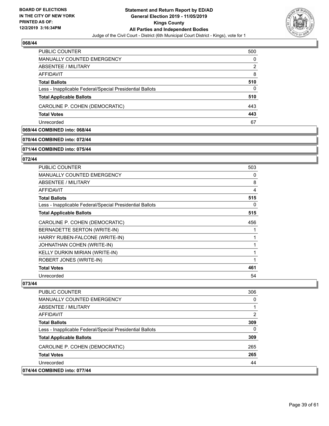

| PUBLIC COUNTER                                           | 500 |
|----------------------------------------------------------|-----|
| MANUALLY COUNTED EMERGENCY                               | 0   |
| ABSENTEE / MILITARY                                      | 2   |
| AFFIDAVIT                                                | 8   |
| <b>Total Ballots</b>                                     | 510 |
| Less - Inapplicable Federal/Special Presidential Ballots | 0   |
| <b>Total Applicable Ballots</b>                          | 510 |
| CAROLINE P. COHEN (DEMOCRATIC)                           | 443 |
| <b>Total Votes</b>                                       | 443 |
| Unrecorded                                               | 67  |

# **069/44 COMBINED into: 068/44**

#### **070/44 COMBINED into: 072/44**

#### **071/44 COMBINED into: 075/44**

#### **072/44**

| <b>PUBLIC COUNTER</b>                                    | 503 |
|----------------------------------------------------------|-----|
| <b>MANUALLY COUNTED EMERGENCY</b>                        | 0   |
| <b>ABSENTEE / MILITARY</b>                               | 8   |
| AFFIDAVIT                                                | 4   |
| <b>Total Ballots</b>                                     | 515 |
| Less - Inapplicable Federal/Special Presidential Ballots | 0   |
| <b>Total Applicable Ballots</b>                          | 515 |
| CAROLINE P. COHEN (DEMOCRATIC)                           | 456 |
| BERNADETTE SERTON (WRITE-IN)                             |     |
| HARRY RUBEN-FALCONE (WRITE-IN)                           |     |
| JOHNATHAN COHEN (WRITE-IN)                               |     |
| KELLY DURKIN MIRIAN (WRITE-IN)                           |     |
| ROBERT JONES (WRITE-IN)                                  |     |
| <b>Total Votes</b>                                       | 461 |
| Unrecorded                                               | 54  |

| <b>PUBLIC COUNTER</b>                                    | 306          |
|----------------------------------------------------------|--------------|
| MANUALLY COUNTED EMERGENCY                               | $\Omega$     |
| ABSENTEE / MILITARY                                      |              |
| AFFIDAVIT                                                | 2            |
| <b>Total Ballots</b>                                     | 309          |
| Less - Inapplicable Federal/Special Presidential Ballots | $\mathbf{0}$ |
| <b>Total Applicable Ballots</b>                          | 309          |
| CAROLINE P. COHEN (DEMOCRATIC)                           | 265          |
| <b>Total Votes</b>                                       | 265          |
| Unrecorded                                               | 44           |
| 074/44 COMBINED into: 077/44                             |              |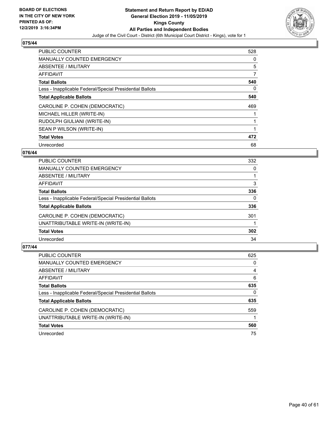

| <b>PUBLIC COUNTER</b>                                    | 528 |
|----------------------------------------------------------|-----|
| <b>MANUALLY COUNTED EMERGENCY</b>                        | 0   |
| ABSENTEE / MILITARY                                      | 5   |
| <b>AFFIDAVIT</b>                                         | 7   |
| <b>Total Ballots</b>                                     | 540 |
| Less - Inapplicable Federal/Special Presidential Ballots | 0   |
| <b>Total Applicable Ballots</b>                          | 540 |
| CAROLINE P. COHEN (DEMOCRATIC)                           | 469 |
| MICHAEL HILLER (WRITE-IN)                                |     |
| RUDOLPH GIULIANI (WRITE-IN)                              |     |
| SEAN P WILSON (WRITE-IN)                                 | 1   |
| <b>Total Votes</b>                                       | 472 |
| Unrecorded                                               | 68  |

# **076/44**

| 332 |
|-----|
| 0   |
|     |
| 3   |
| 336 |
| 0   |
| 336 |
| 301 |
|     |
| 302 |
| 34  |
|     |

| PUBLIC COUNTER                                           | 625 |
|----------------------------------------------------------|-----|
| <b>MANUALLY COUNTED EMERGENCY</b>                        | 0   |
| ABSENTEE / MILITARY                                      | 4   |
| AFFIDAVIT                                                | 6   |
| <b>Total Ballots</b>                                     | 635 |
| Less - Inapplicable Federal/Special Presidential Ballots | 0   |
| <b>Total Applicable Ballots</b>                          | 635 |
| CAROLINE P. COHEN (DEMOCRATIC)                           | 559 |
| UNATTRIBUTABLE WRITE-IN (WRITE-IN)                       |     |
| <b>Total Votes</b>                                       | 560 |
| Unrecorded                                               | 75  |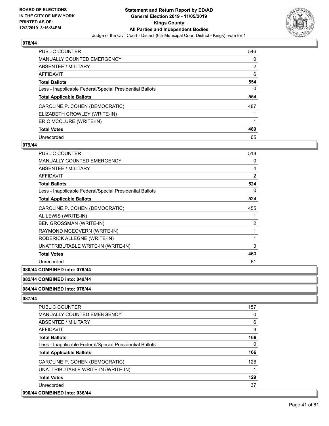

| <b>PUBLIC COUNTER</b>                                    | 546            |
|----------------------------------------------------------|----------------|
| <b>MANUALLY COUNTED EMERGENCY</b>                        | 0              |
| ABSENTEE / MILITARY                                      | $\overline{2}$ |
| <b>AFFIDAVIT</b>                                         | 6              |
| <b>Total Ballots</b>                                     | 554            |
| Less - Inapplicable Federal/Special Presidential Ballots | 0              |
| <b>Total Applicable Ballots</b>                          | 554            |
| CAROLINE P. COHEN (DEMOCRATIC)                           | 487            |
| ELIZABETH CROWLEY (WRITE-IN)                             |                |
| ERIC MCCLURE (WRITE-IN)                                  |                |
| <b>Total Votes</b>                                       | 489            |
| Unrecorded                                               | 65             |

# **079/44**

| <b>PUBLIC COUNTER</b>                                    | 518            |
|----------------------------------------------------------|----------------|
| <b>MANUALLY COUNTED EMERGENCY</b>                        | 0              |
| <b>ABSENTEE / MILITARY</b>                               | 4              |
| <b>AFFIDAVIT</b>                                         | $\overline{2}$ |
| <b>Total Ballots</b>                                     | 524            |
| Less - Inapplicable Federal/Special Presidential Ballots | 0              |
| <b>Total Applicable Ballots</b>                          | 524            |
| CAROLINE P. COHEN (DEMOCRATIC)                           | 455            |
| AL LEWIS (WRITE-IN)                                      | 1              |
| <b>BEN GROSSMAN (WRITE-IN)</b>                           | $\overline{2}$ |
| RAYMOND MCEOVERN (WRITE-IN)                              | 1              |
| RODERICK ALLEGNE (WRITE-IN)                              | 1              |
| UNATTRIBUTABLE WRITE-IN (WRITE-IN)                       | 3              |
| <b>Total Votes</b>                                       | 463            |
| Unrecorded                                               | 61             |

# **080/44 COMBINED into: 079/44**

#### **082/44 COMBINED into: 049/44**

#### **084/44 COMBINED into: 078/44**

| PUBLIC COUNTER                                           | 157      |
|----------------------------------------------------------|----------|
| <b>MANUALLY COUNTED EMERGENCY</b>                        | 0        |
| ABSENTEE / MILITARY                                      | 6        |
| AFFIDAVIT                                                | 3        |
| <b>Total Ballots</b>                                     | 166      |
| Less - Inapplicable Federal/Special Presidential Ballots | $\Omega$ |
| <b>Total Applicable Ballots</b>                          | 166      |
| CAROLINE P. COHEN (DEMOCRATIC)                           | 128      |
| UNATTRIBUTABLE WRITE-IN (WRITE-IN)                       |          |
| <b>Total Votes</b>                                       | 129      |
| Unrecorded                                               | 37       |
| 090/44 COMBINED into: 036/44                             |          |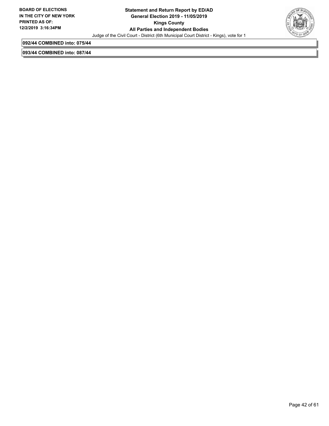

**092/44 COMBINED into: 075/44**

**093/44 COMBINED into: 087/44**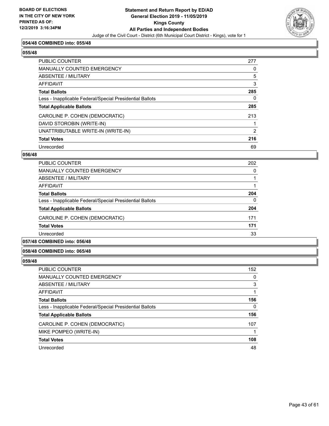

# **054/48 COMBINED into: 055/48**

#### **055/48**

| PUBLIC COUNTER                                           | 277 |
|----------------------------------------------------------|-----|
| <b>MANUALLY COUNTED EMERGENCY</b>                        | 0   |
| ABSENTEE / MILITARY                                      | 5   |
| AFFIDAVIT                                                | 3   |
| <b>Total Ballots</b>                                     | 285 |
| Less - Inapplicable Federal/Special Presidential Ballots | 0   |
| <b>Total Applicable Ballots</b>                          | 285 |
| CAROLINE P. COHEN (DEMOCRATIC)                           | 213 |
| DAVID STOROBIN (WRITE-IN)                                |     |
| UNATTRIBUTABLE WRITE-IN (WRITE-IN)                       | 2   |
| <b>Total Votes</b>                                       | 216 |
| Unrecorded                                               | 69  |

#### **056/48**

| <b>PUBLIC COUNTER</b>                                    | 202      |
|----------------------------------------------------------|----------|
| <b>MANUALLY COUNTED EMERGENCY</b>                        | $\Omega$ |
| ABSENTEE / MILITARY                                      |          |
| AFFIDAVIT                                                |          |
| <b>Total Ballots</b>                                     | 204      |
| Less - Inapplicable Federal/Special Presidential Ballots | $\Omega$ |
| <b>Total Applicable Ballots</b>                          | 204      |
| CAROLINE P. COHEN (DEMOCRATIC)                           | 171      |
| <b>Total Votes</b>                                       | 171      |
| Unrecorded                                               | 33       |
|                                                          |          |

# **057/48 COMBINED into: 056/48**

#### **058/48 COMBINED into: 065/48**

| <b>PUBLIC COUNTER</b>                                    | 152 |
|----------------------------------------------------------|-----|
| <b>MANUALLY COUNTED EMERGENCY</b>                        | 0   |
| ABSENTEE / MILITARY                                      | 3   |
| AFFIDAVIT                                                |     |
| <b>Total Ballots</b>                                     | 156 |
| Less - Inapplicable Federal/Special Presidential Ballots | 0   |
| <b>Total Applicable Ballots</b>                          | 156 |
| CAROLINE P. COHEN (DEMOCRATIC)                           | 107 |
| MIKE POMPEO (WRITE-IN)                                   |     |
| <b>Total Votes</b>                                       | 108 |
| Unrecorded                                               | 48  |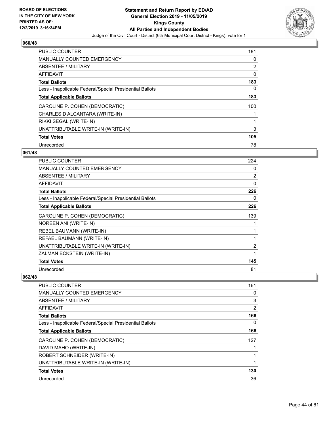

| <b>PUBLIC COUNTER</b>                                    | 181 |
|----------------------------------------------------------|-----|
| <b>MANUALLY COUNTED EMERGENCY</b>                        | 0   |
| ABSENTEE / MILITARY                                      | 2   |
| <b>AFFIDAVIT</b>                                         | 0   |
| <b>Total Ballots</b>                                     | 183 |
| Less - Inapplicable Federal/Special Presidential Ballots | 0   |
| <b>Total Applicable Ballots</b>                          | 183 |
| CAROLINE P. COHEN (DEMOCRATIC)                           | 100 |
| CHARLES D ALCANTARA (WRITE-IN)                           |     |
| RIKKI SEGAL (WRITE-IN)                                   | 1   |
| UNATTRIBUTABLE WRITE-IN (WRITE-IN)                       | 3   |
| <b>Total Votes</b>                                       | 105 |
| Unrecorded                                               | 78  |

# **061/48**

| PUBLIC COUNTER                                           | 224            |
|----------------------------------------------------------|----------------|
| <b>MANUALLY COUNTED EMERGENCY</b>                        | 0              |
| <b>ABSENTEE / MILITARY</b>                               | $\overline{2}$ |
| AFFIDAVIT                                                | 0              |
| <b>Total Ballots</b>                                     | 226            |
| Less - Inapplicable Federal/Special Presidential Ballots | 0              |
| <b>Total Applicable Ballots</b>                          | 226            |
| CAROLINE P. COHEN (DEMOCRATIC)                           | 139            |
| NOREEN ANI (WRITE-IN)                                    |                |
| REBEL BAUMANN (WRITE-IN)                                 |                |
| REFAEL BAUMANN (WRITE-IN)                                |                |
| UNATTRIBUTABLE WRITE-IN (WRITE-IN)                       | $\overline{2}$ |
| ZALMAN ECKSTEIN (WRITE-IN)                               | 1              |
| <b>Total Votes</b>                                       | 145            |
| Unrecorded                                               | 81             |

| PUBLIC COUNTER                                           | 161 |
|----------------------------------------------------------|-----|
| <b>MANUALLY COUNTED EMERGENCY</b>                        | 0   |
| ABSENTEE / MILITARY                                      | 3   |
| AFFIDAVIT                                                | 2   |
| <b>Total Ballots</b>                                     | 166 |
| Less - Inapplicable Federal/Special Presidential Ballots | 0   |
| <b>Total Applicable Ballots</b>                          | 166 |
| CAROLINE P. COHEN (DEMOCRATIC)                           | 127 |
| DAVID MAHO (WRITE-IN)                                    |     |
| ROBERT SCHNEIDER (WRITE-IN)                              |     |
| UNATTRIBUTABLE WRITE-IN (WRITE-IN)                       |     |
| <b>Total Votes</b>                                       | 130 |
| Unrecorded                                               | 36  |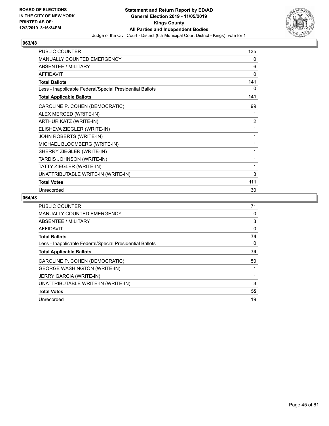

| PUBLIC COUNTER                                           | 135            |
|----------------------------------------------------------|----------------|
| <b>MANUALLY COUNTED EMERGENCY</b>                        | 0              |
| ABSENTEE / MILITARY                                      | 6              |
| AFFIDAVIT                                                | 0              |
| <b>Total Ballots</b>                                     | 141            |
| Less - Inapplicable Federal/Special Presidential Ballots | 0              |
| <b>Total Applicable Ballots</b>                          | 141            |
| CAROLINE P. COHEN (DEMOCRATIC)                           | 99             |
| ALEX MERCED (WRITE-IN)                                   |                |
| ARTHUR KATZ (WRITE-IN)                                   | $\overline{2}$ |
| ELISHEVA ZIEGLER (WRITE-IN)                              | 1              |
| JOHN ROBERTS (WRITE-IN)                                  | 1              |
| MICHAEL BLOOMBERG (WRITE-IN)                             | 1              |
| SHERRY ZIEGLER (WRITE-IN)                                | 1              |
| TARDIS JOHNSON (WRITE-IN)                                | 1              |
| TATTY ZIEGLER (WRITE-IN)                                 | 1              |
| UNATTRIBUTABLE WRITE-IN (WRITE-IN)                       | 3              |
| <b>Total Votes</b>                                       | 111            |
| Unrecorded                                               | 30             |

| PUBLIC COUNTER                                           | 71 |
|----------------------------------------------------------|----|
| <b>MANUALLY COUNTED EMERGENCY</b>                        | 0  |
| ABSENTEE / MILITARY                                      | 3  |
| AFFIDAVIT                                                | 0  |
| <b>Total Ballots</b>                                     | 74 |
| Less - Inapplicable Federal/Special Presidential Ballots | 0  |
| <b>Total Applicable Ballots</b>                          | 74 |
| CAROLINE P. COHEN (DEMOCRATIC)                           | 50 |
| <b>GEORGE WASHINGTON (WRITE-IN)</b>                      |    |
| <b>JERRY GARCIA (WRITE-IN)</b>                           |    |
| UNATTRIBUTABLE WRITE-IN (WRITE-IN)                       | 3  |
| <b>Total Votes</b>                                       | 55 |
| Unrecorded                                               | 19 |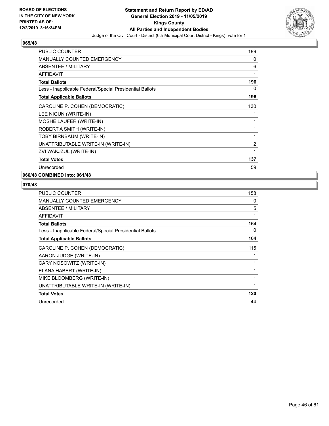

| <b>PUBLIC COUNTER</b>                                    | 189            |
|----------------------------------------------------------|----------------|
| <b>MANUALLY COUNTED EMERGENCY</b>                        | 0              |
| <b>ABSENTEE / MILITARY</b>                               | 6              |
| <b>AFFIDAVIT</b>                                         | 1              |
| <b>Total Ballots</b>                                     | 196            |
| Less - Inapplicable Federal/Special Presidential Ballots | 0              |
| <b>Total Applicable Ballots</b>                          | 196            |
| CAROLINE P. COHEN (DEMOCRATIC)                           | 130            |
| LEE NIGUN (WRITE-IN)                                     | 1              |
| MOSHE LAUFER (WRITE-IN)                                  | 1              |
| ROBERT A SMITH (WRITE-IN)                                | 1              |
| TOBY BIRNBAUM (WRITE-IN)                                 | 1              |
| UNATTRIBUTABLE WRITE-IN (WRITE-IN)                       | $\overline{2}$ |
| ZVI WAKJZUL (WRITE-IN)                                   | 1              |
| <b>Total Votes</b>                                       | 137            |
| Unrecorded                                               | 59             |

# **066/48 COMBINED into: 061/48**

| <b>PUBLIC COUNTER</b>                                    | 158 |
|----------------------------------------------------------|-----|
| <b>MANUALLY COUNTED EMERGENCY</b>                        | 0   |
| ABSENTEE / MILITARY                                      | 5   |
| AFFIDAVIT                                                | 1   |
| <b>Total Ballots</b>                                     | 164 |
| Less - Inapplicable Federal/Special Presidential Ballots | 0   |
| <b>Total Applicable Ballots</b>                          | 164 |
| CAROLINE P. COHEN (DEMOCRATIC)                           | 115 |
| AARON JUDGE (WRITE-IN)                                   |     |
| CARY NOSOWITZ (WRITE-IN)                                 |     |
| ELANA HABERT (WRITE-IN)                                  |     |
| MIKE BLOOMBERG (WRITE-IN)                                |     |
| UNATTRIBUTABLE WRITE-IN (WRITE-IN)                       | 1   |
| <b>Total Votes</b>                                       | 120 |
| Unrecorded                                               | 44  |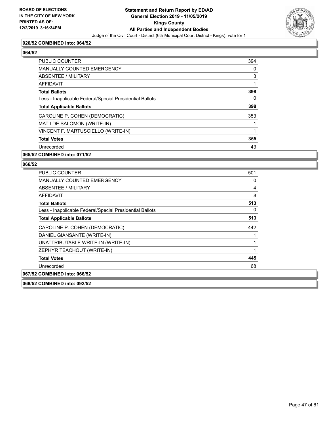

# **026/52 COMBINED into: 064/52**

# **064/52**

| <b>PUBLIC COUNTER</b>                                    | 394 |
|----------------------------------------------------------|-----|
| <b>MANUALLY COUNTED EMERGENCY</b>                        | 0   |
| ABSENTEE / MILITARY                                      | 3   |
| AFFIDAVIT                                                |     |
| <b>Total Ballots</b>                                     | 398 |
| Less - Inapplicable Federal/Special Presidential Ballots | 0   |
| <b>Total Applicable Ballots</b>                          | 398 |
| CAROLINE P. COHEN (DEMOCRATIC)                           | 353 |
| MATILDE SALOMON (WRITE-IN)                               |     |
| VINCENT F. MARTUSCIELLO (WRITE-IN)                       | 1   |
| <b>Total Votes</b>                                       | 355 |
| Unrecorded                                               | 43  |

# **065/52 COMBINED into: 071/52**

#### **066/52**

| PUBLIC COUNTER                                           | 501 |
|----------------------------------------------------------|-----|
| <b>MANUALLY COUNTED EMERGENCY</b>                        | 0   |
| ABSENTEE / MILITARY                                      | 4   |
| AFFIDAVIT                                                | 8   |
| <b>Total Ballots</b>                                     | 513 |
| Less - Inapplicable Federal/Special Presidential Ballots | 0   |
| <b>Total Applicable Ballots</b>                          | 513 |
| CAROLINE P. COHEN (DEMOCRATIC)                           | 442 |
| DANIEL GIANSANTE (WRITE-IN)                              |     |
| UNATTRIBUTABLE WRITE-IN (WRITE-IN)                       |     |
| ZEPHYR TEACHOUT (WRITE-IN)                               |     |
| <b>Total Votes</b>                                       | 445 |
| Unrecorded                                               | 68  |
| 067/52 COMBINED into: 066/52                             |     |
|                                                          |     |

**068/52 COMBINED into: 092/52**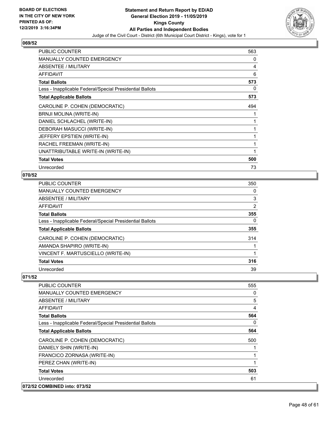

| <b>PUBLIC COUNTER</b>                                    | 563 |
|----------------------------------------------------------|-----|
| MANUALLY COUNTED EMERGENCY                               | 0   |
| <b>ABSENTEE / MILITARY</b>                               | 4   |
| <b>AFFIDAVIT</b>                                         | 6   |
| <b>Total Ballots</b>                                     | 573 |
| Less - Inapplicable Federal/Special Presidential Ballots | 0   |
| <b>Total Applicable Ballots</b>                          | 573 |
| CAROLINE P. COHEN (DEMOCRATIC)                           | 494 |
| BRNJI MOLINA (WRITE-IN)                                  |     |
| DANIEL SCHLACHEL (WRITE-IN)                              | 1   |
| DEBORAH MASUCCI (WRITE-IN)                               | 1   |
| JEFFERY EPSTIEN (WRITE-IN)                               | 1   |
| RACHEL FREEMAN (WRITE-IN)                                | 1   |
| UNATTRIBUTABLE WRITE-IN (WRITE-IN)                       | 1   |
| <b>Total Votes</b>                                       | 500 |
| Unrecorded                                               | 73  |

# **070/52**

| <b>PUBLIC COUNTER</b>                                    | 350 |
|----------------------------------------------------------|-----|
| <b>MANUALLY COUNTED EMERGENCY</b>                        | 0   |
| ABSENTEE / MILITARY                                      | 3   |
| AFFIDAVIT                                                | 2   |
| <b>Total Ballots</b>                                     | 355 |
| Less - Inapplicable Federal/Special Presidential Ballots | 0   |
| <b>Total Applicable Ballots</b>                          | 355 |
| CAROLINE P. COHEN (DEMOCRATIC)                           | 314 |
| AMANDA SHAPIRO (WRITE-IN)                                |     |
| VINCENT F. MARTUSCIELLO (WRITE-IN)                       |     |
| <b>Total Votes</b>                                       | 316 |
| Unrecorded                                               | 39  |

| <b>PUBLIC COUNTER</b>                                    | 555      |
|----------------------------------------------------------|----------|
| <b>MANUALLY COUNTED EMERGENCY</b>                        | 0        |
| <b>ABSENTEE / MILITARY</b>                               | 5        |
| AFFIDAVIT                                                | 4        |
| <b>Total Ballots</b>                                     | 564      |
| Less - Inapplicable Federal/Special Presidential Ballots | $\Omega$ |
| <b>Total Applicable Ballots</b>                          | 564      |
| CAROLINE P. COHEN (DEMOCRATIC)                           | 500      |
| DANIELY SHIN (WRITE-IN)                                  |          |
| FRANCICO ZORNASA (WRITE-IN)                              | 1        |
| PEREZ CHAN (WRITE-IN)                                    |          |
| <b>Total Votes</b>                                       | 503      |
| Unrecorded                                               | 61       |
| 072/52 COMBINED into: 073/52                             |          |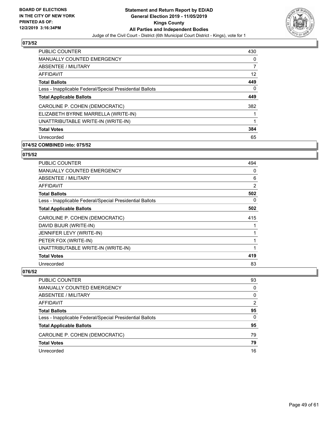

| <b>PUBLIC COUNTER</b>                                    | 430 |
|----------------------------------------------------------|-----|
| <b>MANUALLY COUNTED EMERGENCY</b>                        | 0   |
| <b>ABSENTEE / MILITARY</b>                               |     |
| <b>AFFIDAVIT</b>                                         | 12  |
| <b>Total Ballots</b>                                     | 449 |
| Less - Inapplicable Federal/Special Presidential Ballots | 0   |
| <b>Total Applicable Ballots</b>                          | 449 |
| CAROLINE P. COHEN (DEMOCRATIC)                           | 382 |
| ELIZABETH BYRNE MARRELLA (WRITE-IN)                      |     |
| UNATTRIBUTABLE WRITE-IN (WRITE-IN)                       | 1   |
| <b>Total Votes</b>                                       | 384 |
| Unrecorded                                               | 65  |

# **074/52 COMBINED into: 075/52**

# **075/52**

| <b>PUBLIC COUNTER</b>                                    | 494 |
|----------------------------------------------------------|-----|
| <b>MANUALLY COUNTED EMERGENCY</b>                        | 0   |
| ABSENTEE / MILITARY                                      | 6   |
| <b>AFFIDAVIT</b>                                         | 2   |
| <b>Total Ballots</b>                                     | 502 |
| Less - Inapplicable Federal/Special Presidential Ballots | 0   |
| <b>Total Applicable Ballots</b>                          | 502 |
| CAROLINE P. COHEN (DEMOCRATIC)                           | 415 |
| DAVID BIJUR (WRITE-IN)                                   |     |
| JENNIFER LEVY (WRITE-IN)                                 |     |
| PETER FOX (WRITE-IN)                                     |     |
| UNATTRIBUTABLE WRITE-IN (WRITE-IN)                       |     |
| <b>Total Votes</b>                                       | 419 |
| Unrecorded                                               | 83  |

| <b>PUBLIC COUNTER</b>                                    | 93            |
|----------------------------------------------------------|---------------|
| MANUALLY COUNTED EMERGENCY                               | $\Omega$      |
| ABSENTEE / MILITARY                                      | $\Omega$      |
| AFFIDAVIT                                                | $\mathcal{P}$ |
| <b>Total Ballots</b>                                     | 95            |
| Less - Inapplicable Federal/Special Presidential Ballots | $\Omega$      |
| <b>Total Applicable Ballots</b>                          | 95            |
| CAROLINE P. COHEN (DEMOCRATIC)                           | 79            |
| <b>Total Votes</b>                                       | 79            |
| Unrecorded                                               | 16            |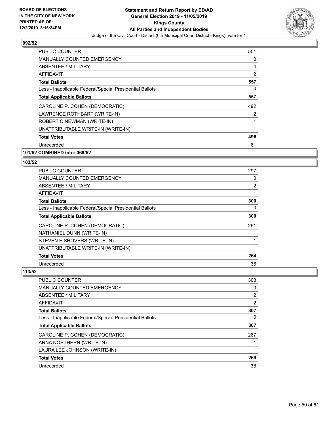

| PUBLIC COUNTER                                           | 551 |
|----------------------------------------------------------|-----|
| <b>MANUALLY COUNTED EMERGENCY</b>                        | 0   |
| ABSENTEE / MILITARY                                      | 4   |
| AFFIDAVIT                                                | 2   |
| <b>Total Ballots</b>                                     | 557 |
| Less - Inapplicable Federal/Special Presidential Ballots | 0   |
| <b>Total Applicable Ballots</b>                          | 557 |
| CAROLINE P. COHEN (DEMOCRATIC)                           | 492 |
| LAWRENCE ROTHBART (WRITE-IN)                             | 2   |
| ROBERT C NEWMAN (WRITE-IN)                               | 1   |
| UNATTRIBUTABLE WRITE-IN (WRITE-IN)                       | 1   |
| <b>Total Votes</b>                                       | 496 |
| Unrecorded                                               | 61  |
| 101/52 COMBINED into: 069/52                             |     |

# **103/52**

| <b>PUBLIC COUNTER</b>                                    | 297 |
|----------------------------------------------------------|-----|
| <b>MANUALLY COUNTED EMERGENCY</b>                        | 0   |
| ABSENTEE / MILITARY                                      | 2   |
| AFFIDAVIT                                                |     |
| <b>Total Ballots</b>                                     | 300 |
| Less - Inapplicable Federal/Special Presidential Ballots | 0   |
| <b>Total Applicable Ballots</b>                          | 300 |
| CAROLINE P. COHEN (DEMOCRATIC)                           | 261 |
| NATHANIEL DUNN (WRITE-IN)                                |     |
| STEVEN E SHOVERS (WRITE-IN)                              |     |
| UNATTRIBUTABLE WRITE-IN (WRITE-IN)                       |     |
| <b>Total Votes</b>                                       | 264 |
| Unrecorded                                               | 36  |

| PUBLIC COUNTER                                           | 303 |
|----------------------------------------------------------|-----|
| <b>MANUALLY COUNTED EMERGENCY</b>                        | 0   |
| ABSENTEE / MILITARY                                      | 2   |
| AFFIDAVIT                                                | 2   |
| <b>Total Ballots</b>                                     | 307 |
| Less - Inapplicable Federal/Special Presidential Ballots | 0   |
| <b>Total Applicable Ballots</b>                          | 307 |
| CAROLINE P. COHEN (DEMOCRATIC)                           | 267 |
| ANNA NORTHERN (WRITE-IN)                                 |     |
| LAURA LEE JOHNSON (WRITE-IN)                             |     |
| <b>Total Votes</b>                                       | 269 |
| Unrecorded                                               | 38  |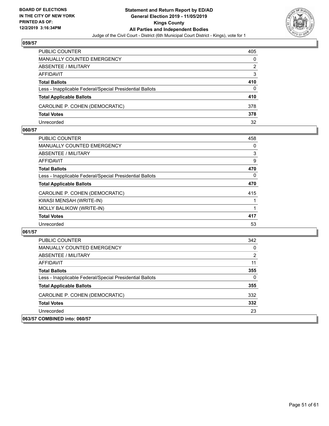

| <b>PUBLIC COUNTER</b>                                    | 405 |
|----------------------------------------------------------|-----|
| <b>MANUALLY COUNTED EMERGENCY</b>                        | 0   |
| ABSENTEE / MILITARY                                      | 2   |
| AFFIDAVIT                                                | 3   |
| <b>Total Ballots</b>                                     | 410 |
| Less - Inapplicable Federal/Special Presidential Ballots | 0   |
| <b>Total Applicable Ballots</b>                          | 410 |
| CAROLINE P. COHEN (DEMOCRATIC)                           | 378 |
| <b>Total Votes</b>                                       | 378 |
| Unrecorded                                               | 32  |

#### **060/57**

| 458 |
|-----|
| 0   |
| 3   |
| 9   |
| 470 |
| 0   |
| 470 |
| 415 |
|     |
|     |
| 417 |
| 53  |
|     |

| PUBLIC COUNTER                                           | 342 |
|----------------------------------------------------------|-----|
| <b>MANUALLY COUNTED EMERGENCY</b>                        | 0   |
| ABSENTEE / MILITARY                                      | 2   |
| AFFIDAVIT                                                | 11  |
| <b>Total Ballots</b>                                     | 355 |
| Less - Inapplicable Federal/Special Presidential Ballots | 0   |
| <b>Total Applicable Ballots</b>                          | 355 |
| CAROLINE P. COHEN (DEMOCRATIC)                           | 332 |
| <b>Total Votes</b>                                       | 332 |
| Unrecorded                                               | 23  |
| 063/57 COMBINED into: 060/57                             |     |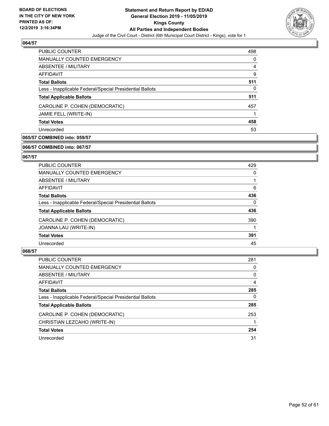

| <b>PUBLIC COUNTER</b>                                    | 498 |
|----------------------------------------------------------|-----|
| <b>MANUALLY COUNTED EMERGENCY</b>                        | 0   |
| ABSENTEE / MILITARY                                      | 4   |
| AFFIDAVIT                                                | 9   |
| <b>Total Ballots</b>                                     | 511 |
| Less - Inapplicable Federal/Special Presidential Ballots | 0   |
| <b>Total Applicable Ballots</b>                          | 511 |
| CAROLINE P. COHEN (DEMOCRATIC)                           | 457 |
| JAMIE FELL (WRITE-IN)                                    |     |
| <b>Total Votes</b>                                       | 458 |
| Unrecorded                                               | 53  |

# **065/57 COMBINED into: 059/57**

#### **066/57 COMBINED into: 067/57**

# **067/57**

| <b>PUBLIC COUNTER</b>                                    | 429      |
|----------------------------------------------------------|----------|
| MANUALLY COUNTED EMERGENCY                               | 0        |
| ABSENTEE / MILITARY                                      |          |
| AFFIDAVIT                                                | 6        |
| <b>Total Ballots</b>                                     | 436      |
| Less - Inapplicable Federal/Special Presidential Ballots | $\Omega$ |
| <b>Total Applicable Ballots</b>                          | 436      |
| CAROLINE P. COHEN (DEMOCRATIC)                           | 390      |
| JOANNA LAU (WRITE-IN)                                    |          |
| <b>Total Votes</b>                                       | 391      |
| Unrecorded                                               | 45       |

| <b>PUBLIC COUNTER</b>                                    | 281      |
|----------------------------------------------------------|----------|
| MANUALLY COUNTED EMERGENCY                               | 0        |
| ABSENTEE / MILITARY                                      | $\Omega$ |
| AFFIDAVIT                                                | 4        |
| <b>Total Ballots</b>                                     | 285      |
| Less - Inapplicable Federal/Special Presidential Ballots | 0        |
| <b>Total Applicable Ballots</b>                          | 285      |
| CAROLINE P. COHEN (DEMOCRATIC)                           | 253      |
| CHRISTIAN LEZCAHO (WRITE-IN)                             |          |
| <b>Total Votes</b>                                       | 254      |
| Unrecorded                                               | 31       |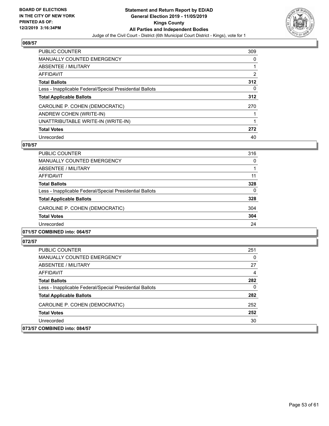

| <b>PUBLIC COUNTER</b>                                    | 309 |
|----------------------------------------------------------|-----|
| <b>MANUALLY COUNTED EMERGENCY</b>                        | 0   |
| ABSENTEE / MILITARY                                      |     |
| AFFIDAVIT                                                | 2   |
| <b>Total Ballots</b>                                     | 312 |
| Less - Inapplicable Federal/Special Presidential Ballots | 0   |
| <b>Total Applicable Ballots</b>                          | 312 |
| CAROLINE P. COHEN (DEMOCRATIC)                           | 270 |
| ANDREW COHEN (WRITE-IN)                                  |     |
| UNATTRIBUTABLE WRITE-IN (WRITE-IN)                       |     |
| <b>Total Votes</b>                                       | 272 |
| Unrecorded                                               | 40  |

# **070/57**

| PUBLIC COUNTER                                           | 316      |
|----------------------------------------------------------|----------|
| <b>MANUALLY COUNTED EMERGENCY</b>                        | 0        |
| ABSENTEE / MILITARY                                      |          |
| AFFIDAVIT                                                | 11       |
| <b>Total Ballots</b>                                     | 328      |
| Less - Inapplicable Federal/Special Presidential Ballots | $\Omega$ |
| <b>Total Applicable Ballots</b>                          | 328      |
| CAROLINE P. COHEN (DEMOCRATIC)                           | 304      |
| <b>Total Votes</b>                                       | 304      |
| Unrecorded                                               | 24       |
|                                                          |          |

# **071/57 COMBINED into: 064/57**

| <b>PUBLIC COUNTER</b>                                    | 251 |
|----------------------------------------------------------|-----|
| <b>MANUALLY COUNTED EMERGENCY</b>                        | 0   |
| ABSENTEE / MILITARY                                      | 27  |
| AFFIDAVIT                                                | 4   |
| <b>Total Ballots</b>                                     | 282 |
| Less - Inapplicable Federal/Special Presidential Ballots | 0   |
| <b>Total Applicable Ballots</b>                          | 282 |
| CAROLINE P. COHEN (DEMOCRATIC)                           | 252 |
| <b>Total Votes</b>                                       | 252 |
| Unrecorded                                               | 30  |
| 073/57 COMBINED into: 084/57                             |     |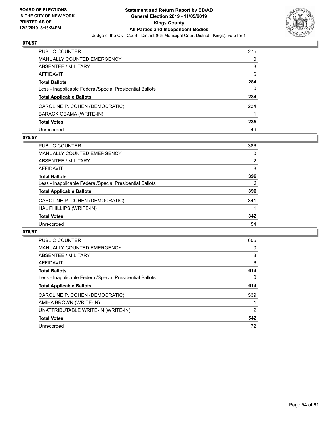

| PUBLIC COUNTER                                           | 275 |
|----------------------------------------------------------|-----|
| <b>MANUALLY COUNTED EMERGENCY</b>                        | 0   |
| <b>ABSENTEE / MILITARY</b>                               | 3   |
| <b>AFFIDAVIT</b>                                         | 6   |
| <b>Total Ballots</b>                                     | 284 |
| Less - Inapplicable Federal/Special Presidential Ballots | 0   |
| <b>Total Applicable Ballots</b>                          | 284 |
| CAROLINE P. COHEN (DEMOCRATIC)                           | 234 |
| BARACK OBAMA (WRITE-IN)                                  |     |
| <b>Total Votes</b>                                       | 235 |
| Unrecorded                                               | 49  |

# **075/57**

| <b>PUBLIC COUNTER</b>                                    | 386            |
|----------------------------------------------------------|----------------|
| MANUALLY COUNTED EMERGENCY                               | 0              |
| ABSENTEE / MILITARY                                      | $\overline{2}$ |
| AFFIDAVIT                                                | 8              |
| <b>Total Ballots</b>                                     | 396            |
| Less - Inapplicable Federal/Special Presidential Ballots | 0              |
| <b>Total Applicable Ballots</b>                          | 396            |
| CAROLINE P. COHEN (DEMOCRATIC)                           | 341            |
| HAL PHILLIPS (WRITE-IN)                                  |                |
| <b>Total Votes</b>                                       | 342            |
| Unrecorded                                               | 54             |

| <b>PUBLIC COUNTER</b>                                    | 605 |
|----------------------------------------------------------|-----|
| <b>MANUALLY COUNTED EMERGENCY</b>                        | 0   |
| ABSENTEE / MILITARY                                      | 3   |
| AFFIDAVIT                                                | 6   |
| <b>Total Ballots</b>                                     | 614 |
| Less - Inapplicable Federal/Special Presidential Ballots | 0   |
| <b>Total Applicable Ballots</b>                          | 614 |
| CAROLINE P. COHEN (DEMOCRATIC)                           | 539 |
| AMIHA BROWN (WRITE-IN)                                   |     |
| UNATTRIBUTABLE WRITE-IN (WRITE-IN)                       | 2   |
| <b>Total Votes</b>                                       | 542 |
| Unrecorded                                               | 72  |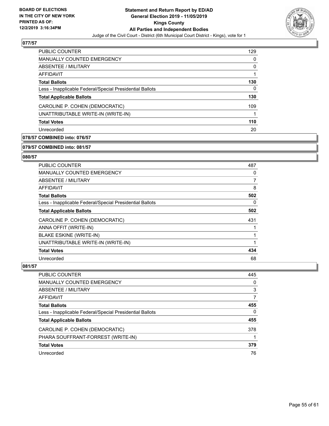

| <b>PUBLIC COUNTER</b>                                    | 129 |
|----------------------------------------------------------|-----|
| <b>MANUALLY COUNTED EMERGENCY</b>                        | 0   |
| ABSENTEE / MILITARY                                      | 0   |
| AFFIDAVIT                                                |     |
| <b>Total Ballots</b>                                     | 130 |
| Less - Inapplicable Federal/Special Presidential Ballots | 0   |
| <b>Total Applicable Ballots</b>                          | 130 |
| CAROLINE P. COHEN (DEMOCRATIC)                           | 109 |
| UNATTRIBUTABLE WRITE-IN (WRITE-IN)                       |     |
| <b>Total Votes</b>                                       | 110 |
| Unrecorded                                               | 20  |

# **078/57 COMBINED into: 076/57**

#### **079/57 COMBINED into: 081/57**

# **080/57**

| PUBLIC COUNTER                                           | 487 |
|----------------------------------------------------------|-----|
| <b>MANUALLY COUNTED EMERGENCY</b>                        | 0   |
| ABSENTEE / MILITARY                                      | 7   |
| AFFIDAVIT                                                | 8   |
| <b>Total Ballots</b>                                     | 502 |
| Less - Inapplicable Federal/Special Presidential Ballots | 0   |
| <b>Total Applicable Ballots</b>                          | 502 |
| CAROLINE P. COHEN (DEMOCRATIC)                           | 431 |
| ANNA OFFIT (WRITE-IN)                                    |     |
| <b>BLAKE ESKINE (WRITE-IN)</b>                           |     |
| UNATTRIBUTABLE WRITE-IN (WRITE-IN)                       | 1   |
| <b>Total Votes</b>                                       | 434 |
| Unrecorded                                               | 68  |

| <b>PUBLIC COUNTER</b>                                    | 445          |
|----------------------------------------------------------|--------------|
| <b>MANUALLY COUNTED EMERGENCY</b>                        | 0            |
| ABSENTEE / MILITARY                                      | 3            |
| AFFIDAVIT                                                | 7            |
| <b>Total Ballots</b>                                     | 455          |
| Less - Inapplicable Federal/Special Presidential Ballots | $\mathbf{0}$ |
| <b>Total Applicable Ballots</b>                          | 455          |
| CAROLINE P. COHEN (DEMOCRATIC)                           | 378          |
| PHARA SOUFFRANT-FORREST (WRITE-IN)                       |              |
| <b>Total Votes</b>                                       | 379          |
| Unrecorded                                               | 76           |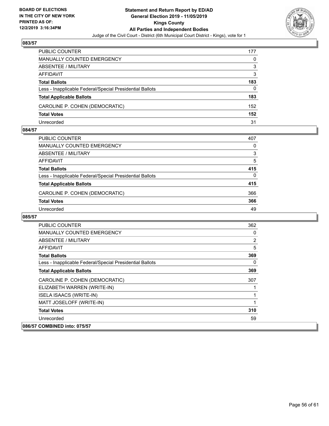

| <b>PUBLIC COUNTER</b>                                    | 177 |
|----------------------------------------------------------|-----|
| <b>MANUALLY COUNTED EMERGENCY</b>                        | 0   |
| ABSENTEE / MILITARY                                      | 3   |
| AFFIDAVIT                                                | 3   |
| <b>Total Ballots</b>                                     | 183 |
| Less - Inapplicable Federal/Special Presidential Ballots | 0   |
| <b>Total Applicable Ballots</b>                          | 183 |
| CAROLINE P. COHEN (DEMOCRATIC)                           | 152 |
| <b>Total Votes</b>                                       | 152 |
| Unrecorded                                               | 31  |

#### **084/57**

| PUBLIC COUNTER                                           | 407 |
|----------------------------------------------------------|-----|
| MANUALLY COUNTED EMERGENCY                               | 0   |
| ABSENTEE / MILITARY                                      | 3   |
| AFFIDAVIT                                                | 5   |
| <b>Total Ballots</b>                                     | 415 |
| Less - Inapplicable Federal/Special Presidential Ballots | 0   |
| <b>Total Applicable Ballots</b>                          | 415 |
| CAROLINE P. COHEN (DEMOCRATIC)                           | 366 |
| <b>Total Votes</b>                                       | 366 |
| Unrecorded                                               | 49  |

| PUBLIC COUNTER                                           | 362            |
|----------------------------------------------------------|----------------|
| <b>MANUALLY COUNTED EMERGENCY</b>                        | 0              |
| ABSENTEE / MILITARY                                      | $\overline{2}$ |
| AFFIDAVIT                                                | 5              |
| <b>Total Ballots</b>                                     | 369            |
| Less - Inapplicable Federal/Special Presidential Ballots | $\Omega$       |
| <b>Total Applicable Ballots</b>                          | 369            |
| CAROLINE P. COHEN (DEMOCRATIC)                           | 307            |
| ELIZABETH WARREN (WRITE-IN)                              |                |
| <b>ISELA ISAACS (WRITE-IN)</b>                           |                |
| MATT JOSELOFF (WRITE-IN)                                 |                |
| <b>Total Votes</b>                                       | 310            |
| Unrecorded                                               | 59             |
| 086/57 COMBINED into: 075/57                             |                |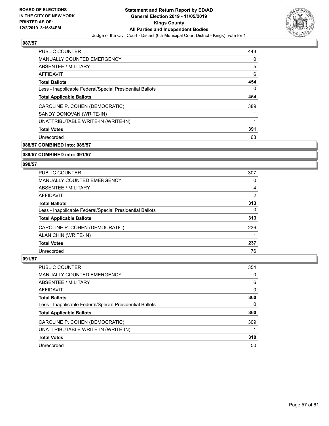

| <b>PUBLIC COUNTER</b>                                    | 443 |
|----------------------------------------------------------|-----|
| <b>MANUALLY COUNTED EMERGENCY</b>                        | 0   |
| ABSENTEE / MILITARY                                      | 5   |
| AFFIDAVIT                                                | 6   |
| <b>Total Ballots</b>                                     | 454 |
| Less - Inapplicable Federal/Special Presidential Ballots | 0   |
| <b>Total Applicable Ballots</b>                          | 454 |
| CAROLINE P. COHEN (DEMOCRATIC)                           | 389 |
| SANDY DONOVAN (WRITE-IN)                                 |     |
| UNATTRIBUTABLE WRITE-IN (WRITE-IN)                       | 1   |
| <b>Total Votes</b>                                       | 391 |
| Unrecorded                                               | 63  |

**088/57 COMBINED into: 085/57**

**089/57 COMBINED into: 091/57**

#### **090/57**

| <b>PUBLIC COUNTER</b>                                    | 307 |
|----------------------------------------------------------|-----|
| MANUALLY COUNTED EMERGENCY                               | 0   |
| ABSENTEE / MILITARY                                      | 4   |
| AFFIDAVIT                                                | 2   |
| <b>Total Ballots</b>                                     | 313 |
| Less - Inapplicable Federal/Special Presidential Ballots | 0   |
| <b>Total Applicable Ballots</b>                          | 313 |
| CAROLINE P. COHEN (DEMOCRATIC)                           | 236 |
| ALAN CHIN (WRITE-IN)                                     |     |
| <b>Total Votes</b>                                       | 237 |
| Unrecorded                                               | 76  |

| PUBLIC COUNTER                                           | 354 |
|----------------------------------------------------------|-----|
| <b>MANUALLY COUNTED EMERGENCY</b>                        | 0   |
| ABSENTEE / MILITARY                                      | 6   |
| AFFIDAVIT                                                | 0   |
| <b>Total Ballots</b>                                     | 360 |
| Less - Inapplicable Federal/Special Presidential Ballots | 0   |
| <b>Total Applicable Ballots</b>                          | 360 |
| CAROLINE P. COHEN (DEMOCRATIC)                           | 309 |
| UNATTRIBUTABLE WRITE-IN (WRITE-IN)                       |     |
| <b>Total Votes</b>                                       | 310 |
| Unrecorded                                               | 50  |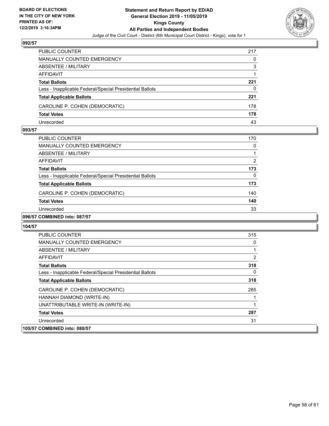

| PUBLIC COUNTER                                           | 217 |
|----------------------------------------------------------|-----|
| <b>MANUALLY COUNTED EMERGENCY</b>                        | 0   |
| ABSENTEE / MILITARY                                      | 3   |
| AFFIDAVIT                                                |     |
| <b>Total Ballots</b>                                     | 221 |
| Less - Inapplicable Federal/Special Presidential Ballots | 0   |
| <b>Total Applicable Ballots</b>                          | 221 |
| CAROLINE P. COHEN (DEMOCRATIC)                           | 178 |
| <b>Total Votes</b>                                       | 178 |
| Unrecorded                                               | 43  |

#### **093/57**

| PUBLIC COUNTER                                           | 170 |
|----------------------------------------------------------|-----|
| <b>MANUALLY COUNTED EMERGENCY</b>                        | 0   |
| ABSENTEE / MILITARY                                      |     |
| AFFIDAVIT                                                | 2   |
| <b>Total Ballots</b>                                     | 173 |
| Less - Inapplicable Federal/Special Presidential Ballots | 0   |
| <b>Total Applicable Ballots</b>                          | 173 |
| CAROLINE P. COHEN (DEMOCRATIC)                           | 140 |
| <b>Total Votes</b>                                       | 140 |
| Unrecorded                                               | 33  |
|                                                          |     |

# **096/57 COMBINED into: 087/57**

| <b>PUBLIC COUNTER</b>                                    | 315          |
|----------------------------------------------------------|--------------|
| <b>MANUALLY COUNTED EMERGENCY</b>                        | 0            |
| ABSENTEE / MILITARY                                      | 1            |
| AFFIDAVIT                                                | 2            |
| <b>Total Ballots</b>                                     | 318          |
| Less - Inapplicable Federal/Special Presidential Ballots | $\mathbf{0}$ |
| <b>Total Applicable Ballots</b>                          | 318          |
| CAROLINE P. COHEN (DEMOCRATIC)                           | 285          |
| HANNAH DIAMOND (WRITE-IN)                                |              |
| UNATTRIBUTABLE WRITE-IN (WRITE-IN)                       | 1            |
| <b>Total Votes</b>                                       | 287          |
| Unrecorded                                               | 31           |
| 105/57 COMBINED into: 080/57                             |              |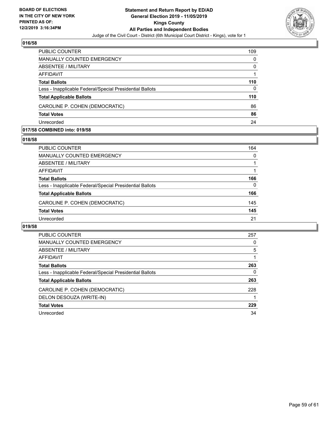

| <b>PUBLIC COUNTER</b>                                    | 109      |
|----------------------------------------------------------|----------|
| MANUALLY COUNTED EMERGENCY                               | $\Omega$ |
| ABSENTEE / MILITARY                                      | $\Omega$ |
| AFFIDAVIT                                                |          |
| <b>Total Ballots</b>                                     | 110      |
| Less - Inapplicable Federal/Special Presidential Ballots | $\Omega$ |
| <b>Total Applicable Ballots</b>                          | 110      |
| CAROLINE P. COHEN (DEMOCRATIC)                           | 86       |
| <b>Total Votes</b>                                       | 86       |
| Unrecorded                                               | 24       |

#### **017/58 COMBINED into: 019/58**

# **018/58**

| <b>PUBLIC COUNTER</b>                                    | 164 |
|----------------------------------------------------------|-----|
| MANUALLY COUNTED EMERGENCY                               | 0   |
| ABSENTEE / MILITARY                                      |     |
| AFFIDAVIT                                                |     |
| <b>Total Ballots</b>                                     | 166 |
| Less - Inapplicable Federal/Special Presidential Ballots | 0   |
| <b>Total Applicable Ballots</b>                          | 166 |
| CAROLINE P. COHEN (DEMOCRATIC)                           | 145 |
| <b>Total Votes</b>                                       | 145 |
| Unrecorded                                               | 21  |
|                                                          |     |

| <b>PUBLIC COUNTER</b>                                    | 257 |
|----------------------------------------------------------|-----|
| <b>MANUALLY COUNTED EMERGENCY</b>                        | 0   |
| ABSENTEE / MILITARY                                      | 5   |
| AFFIDAVIT                                                |     |
| <b>Total Ballots</b>                                     | 263 |
| Less - Inapplicable Federal/Special Presidential Ballots | 0   |
| <b>Total Applicable Ballots</b>                          | 263 |
| CAROLINE P. COHEN (DEMOCRATIC)                           | 228 |
| DELON DESOUZA (WRITE-IN)                                 |     |
| <b>Total Votes</b>                                       | 229 |
| Unrecorded                                               | 34  |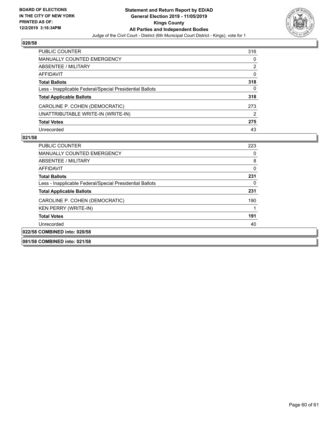

| PUBLIC COUNTER                                           | 316      |
|----------------------------------------------------------|----------|
| MANUALLY COUNTED EMERGENCY                               | 0        |
| ABSENTEE / MILITARY                                      | 2        |
| AFFIDAVIT                                                | $\Omega$ |
| <b>Total Ballots</b>                                     | 318      |
| Less - Inapplicable Federal/Special Presidential Ballots | 0        |
| <b>Total Applicable Ballots</b>                          | 318      |
| CAROLINE P. COHEN (DEMOCRATIC)                           | 273      |
| UNATTRIBUTABLE WRITE-IN (WRITE-IN)                       | 2        |
| <b>Total Votes</b>                                       | 275      |
| Unrecorded                                               | 43       |

| 081/58 COMBINED into: 021/58                             |     |
|----------------------------------------------------------|-----|
| 022/58 COMBINED into: 020/58                             |     |
| Unrecorded                                               | 40  |
| <b>Total Votes</b>                                       | 191 |
| KEN PERRY (WRITE-IN)                                     |     |
| CAROLINE P. COHEN (DEMOCRATIC)                           | 190 |
| <b>Total Applicable Ballots</b>                          | 231 |
| Less - Inapplicable Federal/Special Presidential Ballots | 0   |
| <b>Total Ballots</b>                                     | 231 |
| AFFIDAVIT                                                | 0   |
| ABSENTEE / MILITARY                                      | 8   |
| MANUALLY COUNTED EMERGENCY                               |     |
| <b>PUBLIC COUNTER</b>                                    | 223 |